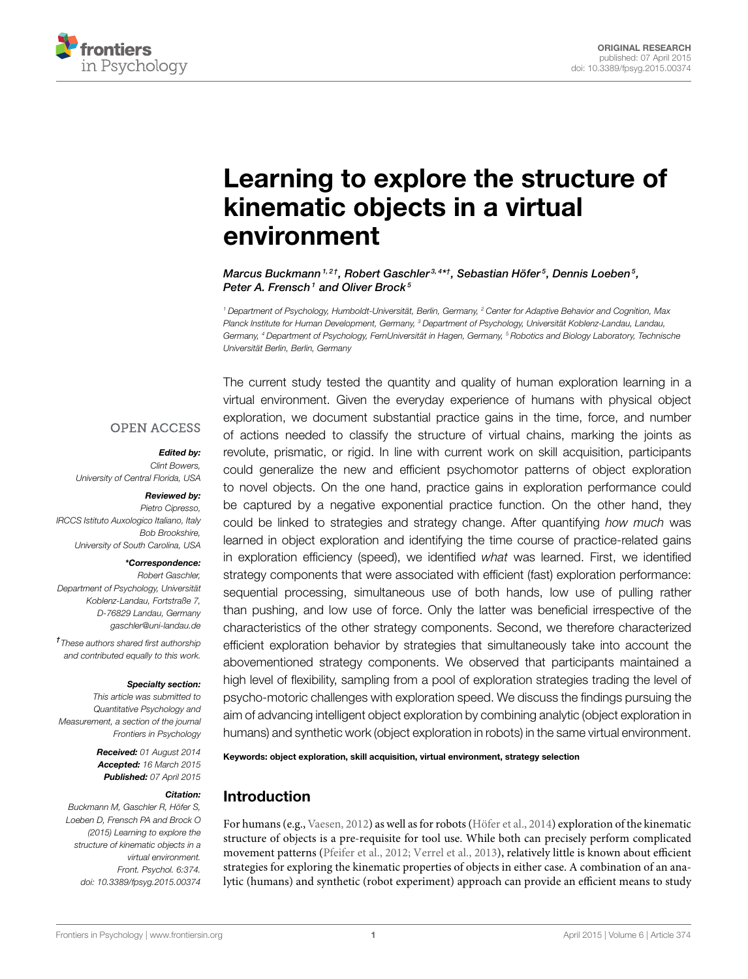

# [Learning to explore the structure of](http://www.frontiersin.org/journal/10.3389/fpsyg.2015.00374/abstract) kinematic objects in a virtual environment

[Marcus Buckmann](http://community.frontiersin.org/people/u/176260) 1,2†, [Robert Gaschler](http://community.frontiersin.org/people/u/49478)<sup>3,4\*†</sup>, [Sebastian Höfer](http://community.frontiersin.org/people/u/204603)<sup>5</sup>, Dennis Loeben<sup>5</sup>, Peter A. Frensch<sup>1</sup> and Oliver Brock<sup>5</sup>

<sup>1</sup> Department of Psychology, Humboldt-Universität, Berlin, Germany, <sup>2</sup> Center for Adaptive Behavior and Cognition, Max Planck Institute for Human Development, Germany, <sup>3</sup> Department of Psychology, Universität Koblenz-Landau, Landau, Germany, <sup>4</sup> Department of Psychology, FernUniversität in Hagen, Germany, <sup>5</sup> Robotics and Biology Laboratory, Technische Universität Berlin, Berlin, Germany

### **OPEN ACCESS**

#### Edited by:

Clint Bowers, University of Central Florida, USA

#### Reviewed by:

Pietro Cipresso, IRCCS Istituto Auxologico Italiano, Italy Bob Brookshire, University of South Carolina, USA

#### \*Correspondence:

Robert Gaschler, Department of Psychology, Universität Koblenz-Landau, Fortstraße 7, D-76829 Landau, Germany [gaschler@uni-landau.de](mailto:gaschler@uni-landau.de)

† These authors shared first authorship and contributed equally to this work.

#### Specialty section:

This article was submitted to Quantitative Psychology and Measurement, a section of the journal Frontiers in Psychology

> Received: 01 August 2014 Accepted: 16 March 2015 Published: 07 April 2015

#### Citation:

Buckmann M, Gaschler R, Höfer S, Loeben D, Frensch PA and Brock O (2015) Learning to explore the structure of kinematic objects in a virtual environment. Front. Psychol. 6:374. doi: [10.3389/fpsyg.2015.00374](http://dx.doi.org/10.3389/fpsyg.2015.00374)

The current study tested the quantity and quality of human exploration learning in a virtual environment. Given the everyday experience of humans with physical object exploration, we document substantial practice gains in the time, force, and number of actions needed to classify the structure of virtual chains, marking the joints as revolute, prismatic, or rigid. In line with current work on skill acquisition, participants could generalize the new and efficient psychomotor patterns of object exploration to novel objects. On the one hand, practice gains in exploration performance could be captured by a negative exponential practice function. On the other hand, they could be linked to strategies and strategy change. After quantifying how much was learned in object exploration and identifying the time course of practice-related gains in exploration efficiency (speed), we identified what was learned. First, we identified strategy components that were associated with efficient (fast) exploration performance: sequential processing, simultaneous use of both hands, low use of pulling rather than pushing, and low use of force. Only the latter was beneficial irrespective of the characteristics of the other strategy components. Second, we therefore characterized efficient exploration behavior by strategies that simultaneously take into account the abovementioned strategy components. We observed that participants maintained a high level of flexibility, sampling from a pool of exploration strategies trading the level of psycho-motoric challenges with exploration speed. We discuss the findings pursuing the aim of advancing intelligent object exploration by combining analytic (object exploration in humans) and synthetic work (object exploration in robots) in the same virtual environment.

Keywords: object exploration, skill acquisition, virtual environment, strategy selection

# Introduction

For humans (e.g., [Vaesen, 2012\)](#page-15-0) as well as for robots [\(Höfer et al., 2014\)](#page-15-1) exploration of the kinematic structure of objects is a pre-requisite for tool use. While both can precisely perform complicated movement patterns [\(Pfeifer et al., 2012;](#page-15-2) [Verrel et al., 2013\)](#page-15-3), relatively little is known about efficient strategies for exploring the kinematic properties of objects in either case. A combination of an analytic (humans) and synthetic (robot experiment) approach can provide an efficient means to study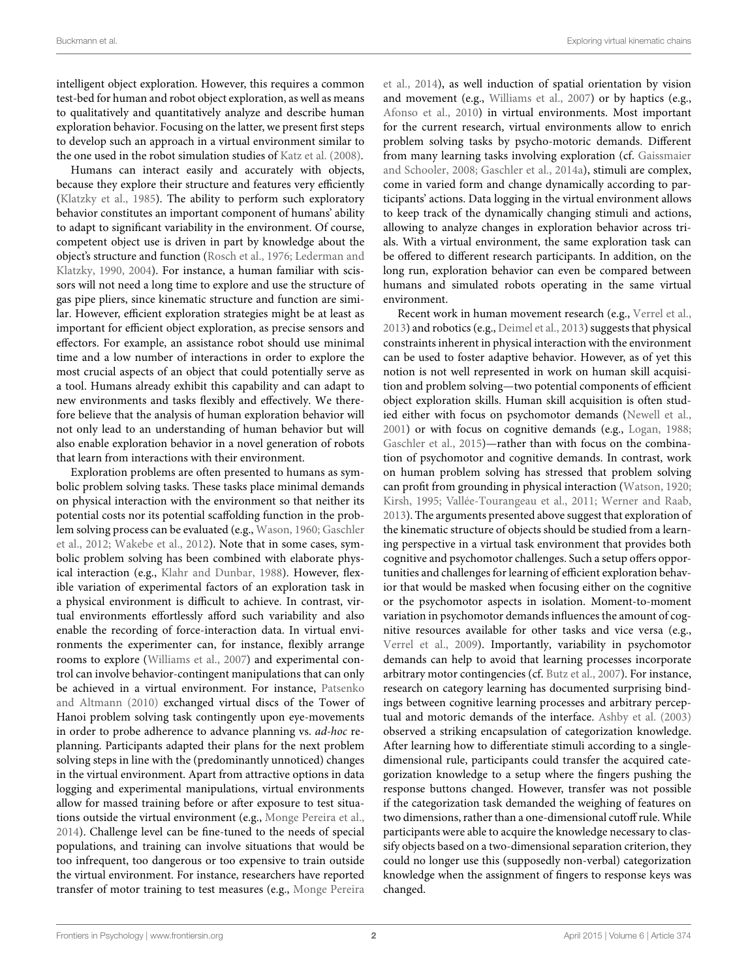intelligent object exploration. However, this requires a common test-bed for human and robot object exploration, as well as means to qualitatively and quantitatively analyze and describe human exploration behavior. Focusing on the latter, we present first steps to develop such an approach in a virtual environment similar to the one used in the robot simulation studies of [Katz et al. \(2008\)](#page-15-4).

Humans can interact easily and accurately with objects, because they explore their structure and features very efficiently [\(Klatzky et al., 1985\)](#page-15-5). The ability to perform such exploratory behavior constitutes an important component of humans' ability to adapt to significant variability in the environment. Of course, competent object use is driven in part by knowledge about the object's structure and function [\(Rosch et al., 1976;](#page-15-6) Lederman and Klatzky, [1990,](#page-15-7) [2004\)](#page-15-8). For instance, a human familiar with scissors will not need a long time to explore and use the structure of gas pipe pliers, since kinematic structure and function are similar. However, efficient exploration strategies might be at least as important for efficient object exploration, as precise sensors and effectors. For example, an assistance robot should use minimal time and a low number of interactions in order to explore the most crucial aspects of an object that could potentially serve as a tool. Humans already exhibit this capability and can adapt to new environments and tasks flexibly and effectively. We therefore believe that the analysis of human exploration behavior will not only lead to an understanding of human behavior but will also enable exploration behavior in a novel generation of robots that learn from interactions with their environment.

Exploration problems are often presented to humans as symbolic problem solving tasks. These tasks place minimal demands on physical interaction with the environment so that neither its potential costs nor its potential scaffolding function in the problem solving process can be evaluated (e.g., [Wason, 1960;](#page-16-0) Gaschler et al., [2012;](#page-15-9) [Wakebe et al., 2012\)](#page-16-1). Note that in some cases, symbolic problem solving has been combined with elaborate physical interaction (e.g., [Klahr and Dunbar, 1988\)](#page-15-10). However, flexible variation of experimental factors of an exploration task in a physical environment is difficult to achieve. In contrast, virtual environments effortlessly afford such variability and also enable the recording of force-interaction data. In virtual environments the experimenter can, for instance, flexibly arrange rooms to explore [\(Williams et al., 2007\)](#page-16-2) and experimental control can involve behavior-contingent manipulations that can only be achieved in a virtual environment. For instance, Patsenko and Altmann [\(2010\)](#page-15-11) exchanged virtual discs of the Tower of Hanoi problem solving task contingently upon eye-movements in order to probe adherence to advance planning vs. ad-hoc replanning. Participants adapted their plans for the next problem solving steps in line with the (predominantly unnoticed) changes in the virtual environment. Apart from attractive options in data logging and experimental manipulations, virtual environments allow for massed training before or after exposure to test situations outside the virtual environment (e.g., [Monge Pereira et al.,](#page-15-12) [2014\)](#page-15-12). Challenge level can be fine-tuned to the needs of special populations, and training can involve situations that would be too infrequent, too dangerous or too expensive to train outside the virtual environment. For instance, researchers have reported transfer of motor training to test measures (e.g., Monge Pereira et al., [2014\)](#page-15-12), as well induction of spatial orientation by vision and movement (e.g., [Williams et al., 2007\)](#page-16-2) or by haptics (e.g., [Afonso et al., 2010\)](#page-14-0) in virtual environments. Most important for the current research, virtual environments allow to enrich problem solving tasks by psycho-motoric demands. Different from many learning tasks involving exploration (cf. Gaissmaier and Schooler, [2008;](#page-15-13) [Gaschler et al., 2014a\)](#page-15-14), stimuli are complex, come in varied form and change dynamically according to participants' actions. Data logging in the virtual environment allows to keep track of the dynamically changing stimuli and actions, allowing to analyze changes in exploration behavior across trials. With a virtual environment, the same exploration task can be offered to different research participants. In addition, on the long run, exploration behavior can even be compared between humans and simulated robots operating in the same virtual environment.

Recent work in human movement research (e.g., [Verrel et al.,](#page-15-3) [2013\)](#page-15-3) and robotics (e.g., [Deimel et al., 2013\)](#page-15-15) suggests that physical constraints inherent in physical interaction with the environment can be used to foster adaptive behavior. However, as of yet this notion is not well represented in work on human skill acquisition and problem solving—two potential components of efficient object exploration skills. Human skill acquisition is often studied either with focus on psychomotor demands [\(Newell et al.,](#page-15-16) [2001\)](#page-15-16) or with focus on cognitive demands (e.g., [Logan, 1988;](#page-15-17) [Gaschler et al., 2015\)](#page-15-18)—rather than with focus on the combination of psychomotor and cognitive demands. In contrast, work on human problem solving has stressed that problem solving can profit from grounding in physical interaction [\(Watson, 1920;](#page-16-3) [Kirsh, 1995;](#page-15-19) [Vallée-Tourangeau et al., 2011;](#page-15-20) [Werner and Raab,](#page-16-4) [2013\)](#page-16-4). The arguments presented above suggest that exploration of the kinematic structure of objects should be studied from a learning perspective in a virtual task environment that provides both cognitive and psychomotor challenges. Such a setup offers opportunities and challenges for learning of efficient exploration behavior that would be masked when focusing either on the cognitive or the psychomotor aspects in isolation. Moment-to-moment variation in psychomotor demands influences the amount of cognitive resources available for other tasks and vice versa (e.g., [Verrel et al., 2009\)](#page-15-21). Importantly, variability in psychomotor demands can help to avoid that learning processes incorporate arbitrary motor contingencies (cf. [Butz et al., 2007\)](#page-15-22). For instance, research on category learning has documented surprising bindings between cognitive learning processes and arbitrary perceptual and motoric demands of the interface. [Ashby et al. \(2003\)](#page-15-23) observed a striking encapsulation of categorization knowledge. After learning how to differentiate stimuli according to a singledimensional rule, participants could transfer the acquired categorization knowledge to a setup where the fingers pushing the response buttons changed. However, transfer was not possible if the categorization task demanded the weighing of features on two dimensions, rather than a one-dimensional cutoff rule. While participants were able to acquire the knowledge necessary to classify objects based on a two-dimensional separation criterion, they could no longer use this (supposedly non-verbal) categorization knowledge when the assignment of fingers to response keys was changed.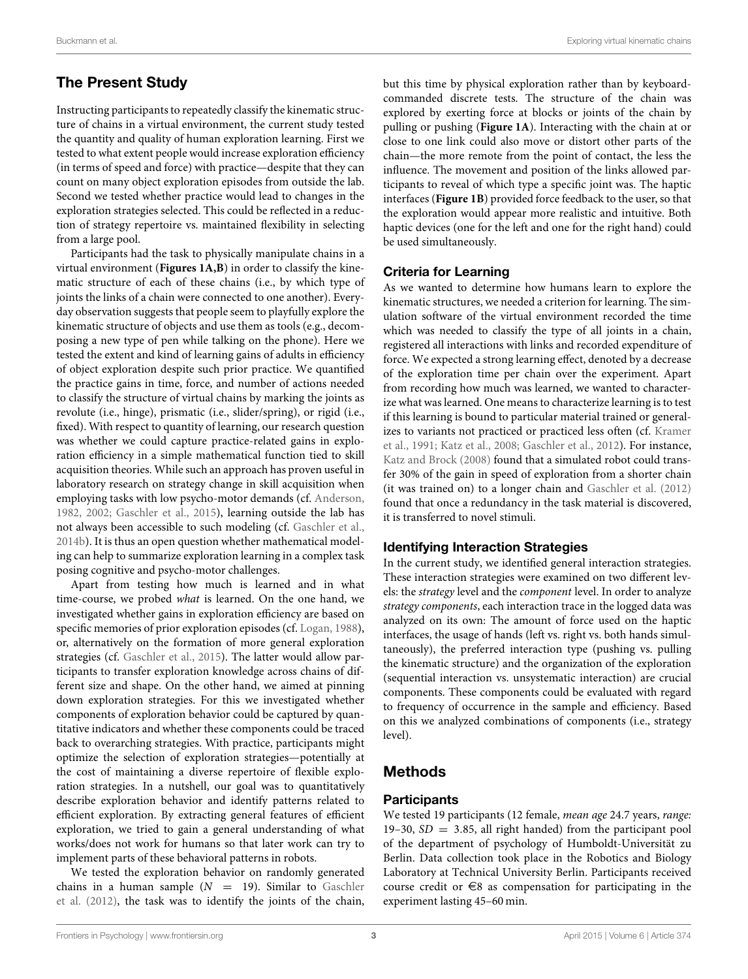# The Present Study

Instructing participants to repeatedly classify the kinematic structure of chains in a virtual environment, the current study tested the quantity and quality of human exploration learning. First we tested to what extent people would increase exploration efficiency (in terms of speed and force) with practice—despite that they can count on many object exploration episodes from outside the lab. Second we tested whether practice would lead to changes in the exploration strategies selected. This could be reflected in a reduction of strategy repertoire vs. maintained flexibility in selecting from a large pool.

Participants had the task to physically manipulate chains in a virtual environment (**[Figures 1A,B](#page-3-0)**) in order to classify the kinematic structure of each of these chains (i.e., by which type of joints the links of a chain were connected to one another). Everyday observation suggests that people seem to playfully explore the kinematic structure of objects and use them as tools (e.g., decomposing a new type of pen while talking on the phone). Here we tested the extent and kind of learning gains of adults in efficiency of object exploration despite such prior practice. We quantified the practice gains in time, force, and number of actions needed to classify the structure of virtual chains by marking the joints as revolute (i.e., hinge), prismatic (i.e., slider/spring), or rigid (i.e., fixed). With respect to quantity of learning, our research question was whether we could capture practice-related gains in exploration efficiency in a simple mathematical function tied to skill acquisition theories. While such an approach has proven useful in laboratory research on strategy change in skill acquisition when employing tasks with low psycho-motor demands (cf. [Anderson,](#page-14-1) [1982,](#page-14-1) [2002;](#page-15-24) [Gaschler et al., 2015\)](#page-15-18), learning outside the lab has not always been accessible to such modeling (cf. [Gaschler et al.,](#page-15-25) [2014b\)](#page-15-25). It is thus an open question whether mathematical modeling can help to summarize exploration learning in a complex task posing cognitive and psycho-motor challenges.

Apart from testing how much is learned and in what time-course, we probed what is learned. On the one hand, we investigated whether gains in exploration efficiency are based on specific memories of prior exploration episodes (cf. [Logan, 1988\)](#page-15-17), or, alternatively on the formation of more general exploration strategies (cf. [Gaschler et al., 2015\)](#page-15-18). The latter would allow participants to transfer exploration knowledge across chains of different size and shape. On the other hand, we aimed at pinning down exploration strategies. For this we investigated whether components of exploration behavior could be captured by quantitative indicators and whether these components could be traced back to overarching strategies. With practice, participants might optimize the selection of exploration strategies—potentially at the cost of maintaining a diverse repertoire of flexible exploration strategies. In a nutshell, our goal was to quantitatively describe exploration behavior and identify patterns related to efficient exploration. By extracting general features of efficient exploration, we tried to gain a general understanding of what works/does not work for humans so that later work can try to implement parts of these behavioral patterns in robots.

We tested the exploration behavior on randomly generated chains in a human sample  $(N = 19)$ . Similar to Gaschler et al. [\(2012\)](#page-15-9), the task was to identify the joints of the chain,

but this time by physical exploration rather than by keyboardcommanded discrete tests. The structure of the chain was explored by exerting force at blocks or joints of the chain by pulling or pushing (**[Figure 1A](#page-3-0)**). Interacting with the chain at or close to one link could also move or distort other parts of the chain—the more remote from the point of contact, the less the influence. The movement and position of the links allowed participants to reveal of which type a specific joint was. The haptic interfaces (**[Figure 1B](#page-3-0)**) provided force feedback to the user, so that the exploration would appear more realistic and intuitive. Both haptic devices (one for the left and one for the right hand) could be used simultaneously.

### Criteria for Learning

As we wanted to determine how humans learn to explore the kinematic structures, we needed a criterion for learning. The simulation software of the virtual environment recorded the time which was needed to classify the type of all joints in a chain, registered all interactions with links and recorded expenditure of force. We expected a strong learning effect, denoted by a decrease of the exploration time per chain over the experiment. Apart from recording how much was learned, we wanted to characterize what was learned. One means to characterize learning is to test if this learning is bound to particular material trained or generalizes to variants not practiced or practiced less often (cf. Kramer et al., [1991;](#page-15-26) [Katz et al., 2008;](#page-15-4) [Gaschler et al., 2012\)](#page-15-9). For instance, [Katz and Brock \(2008\)](#page-15-27) found that a simulated robot could transfer 30% of the gain in speed of exploration from a shorter chain (it was trained on) to a longer chain and [Gaschler et al. \(2012\)](#page-15-9) found that once a redundancy in the task material is discovered, it is transferred to novel stimuli.

# Identifying Interaction Strategies

In the current study, we identified general interaction strategies. These interaction strategies were examined on two different levels: the strategy level and the component level. In order to analyze strategy components, each interaction trace in the logged data was analyzed on its own: The amount of force used on the haptic interfaces, the usage of hands (left vs. right vs. both hands simultaneously), the preferred interaction type (pushing vs. pulling the kinematic structure) and the organization of the exploration (sequential interaction vs. unsystematic interaction) are crucial components. These components could be evaluated with regard to frequency of occurrence in the sample and efficiency. Based on this we analyzed combinations of components (i.e., strategy level).

# Methods

# **Participants**

We tested 19 participants (12 female, mean age 24.7 years, range: 19–30,  $SD = 3.85$ , all right handed) from the participant pool of the department of psychology of Humboldt-Universität zu Berlin. Data collection took place in the Robotics and Biology Laboratory at Technical University Berlin. Participants received course credit or  $\epsilon$ 8 as compensation for participating in the experiment lasting 45–60 min.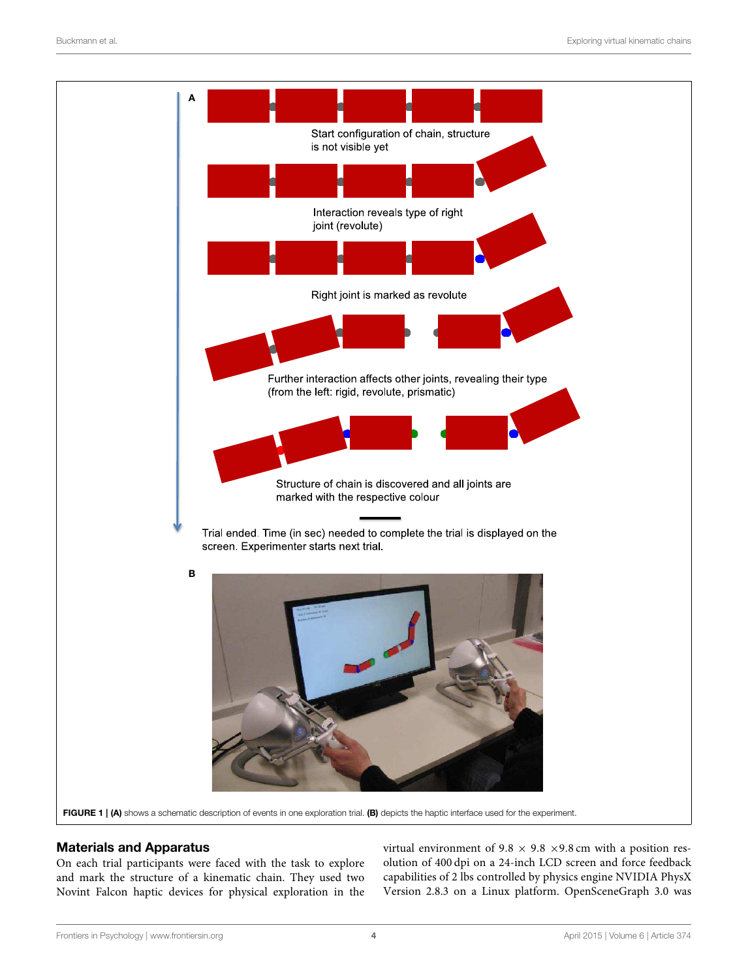

# <span id="page-3-0"></span>Materials and Apparatus

On each trial participants were faced with the task to explore and mark the structure of a kinematic chain. They used two Novint Falcon haptic devices for physical exploration in the virtual environment of  $9.8 \times 9.8 \times 9.8$  cm with a position resolution of 400 dpi on a 24-inch LCD screen and force feedback capabilities of 2 lbs controlled by physics engine NVIDIA PhysX Version 2.8.3 on a Linux platform. OpenSceneGraph 3.0 was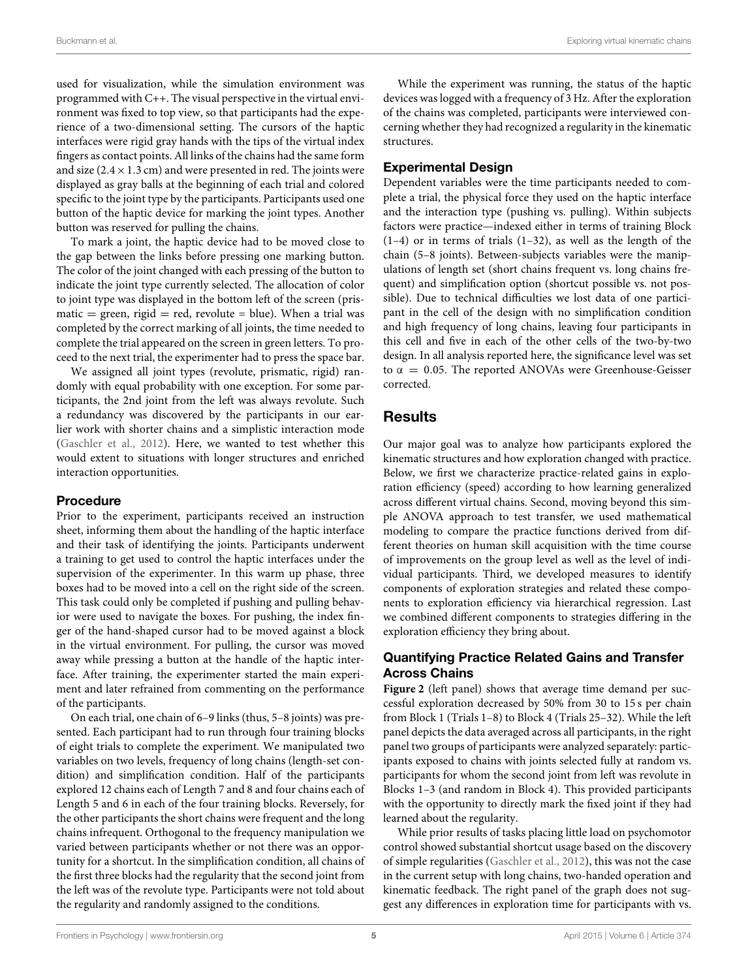used for visualization, while the simulation environment was programmed with C++. The visual perspective in the virtual environment was fixed to top view, so that participants had the experience of a two-dimensional setting. The cursors of the haptic interfaces were rigid gray hands with the tips of the virtual index fingers as contact points. All links of the chains had the same form and size ( $2.4 \times 1.3$  cm) and were presented in red. The joints were displayed as gray balls at the beginning of each trial and colored specific to the joint type by the participants. Participants used one button of the haptic device for marking the joint types. Another button was reserved for pulling the chains.

To mark a joint, the haptic device had to be moved close to the gap between the links before pressing one marking button. The color of the joint changed with each pressing of the button to indicate the joint type currently selected. The allocation of color to joint type was displayed in the bottom left of the screen (pris $matic = green$ , rigid = red, revolute = blue). When a trial was completed by the correct marking of all joints, the time needed to complete the trial appeared on the screen in green letters. To proceed to the next trial, the experimenter had to press the space bar.

We assigned all joint types (revolute, prismatic, rigid) randomly with equal probability with one exception. For some participants, the 2nd joint from the left was always revolute. Such a redundancy was discovered by the participants in our earlier work with shorter chains and a simplistic interaction mode [\(Gaschler et al., 2012\)](#page-15-9). Here, we wanted to test whether this would extent to situations with longer structures and enriched interaction opportunities.

# Procedure

Prior to the experiment, participants received an instruction sheet, informing them about the handling of the haptic interface and their task of identifying the joints. Participants underwent a training to get used to control the haptic interfaces under the supervision of the experimenter. In this warm up phase, three boxes had to be moved into a cell on the right side of the screen. This task could only be completed if pushing and pulling behavior were used to navigate the boxes. For pushing, the index finger of the hand-shaped cursor had to be moved against a block in the virtual environment. For pulling, the cursor was moved away while pressing a button at the handle of the haptic interface. After training, the experimenter started the main experiment and later refrained from commenting on the performance of the participants.

On each trial, one chain of 6–9 links (thus, 5–8 joints) was presented. Each participant had to run through four training blocks of eight trials to complete the experiment. We manipulated two variables on two levels, frequency of long chains (length-set condition) and simplification condition. Half of the participants explored 12 chains each of Length 7 and 8 and four chains each of Length 5 and 6 in each of the four training blocks. Reversely, for the other participants the short chains were frequent and the long chains infrequent. Orthogonal to the frequency manipulation we varied between participants whether or not there was an opportunity for a shortcut. In the simplification condition, all chains of the first three blocks had the regularity that the second joint from the left was of the revolute type. Participants were not told about the regularity and randomly assigned to the conditions.

While the experiment was running, the status of the haptic devices was logged with a frequency of 3 Hz. After the exploration of the chains was completed, participants were interviewed concerning whether they had recognized a regularity in the kinematic structures.

# Experimental Design

Dependent variables were the time participants needed to complete a trial, the physical force they used on the haptic interface and the interaction type (pushing vs. pulling). Within subjects factors were practice—indexed either in terms of training Block  $(1-4)$  or in terms of trials  $(1-32)$ , as well as the length of the chain (5–8 joints). Between-subjects variables were the manipulations of length set (short chains frequent vs. long chains frequent) and simplification option (shortcut possible vs. not possible). Due to technical difficulties we lost data of one participant in the cell of the design with no simplification condition and high frequency of long chains, leaving four participants in this cell and five in each of the other cells of the two-by-two design. In all analysis reported here, the significance level was set to  $\alpha = 0.05$ . The reported ANOVAs were Greenhouse-Geisser corrected.

# Results

Our major goal was to analyze how participants explored the kinematic structures and how exploration changed with practice. Below, we first we characterize practice-related gains in exploration efficiency (speed) according to how learning generalized across different virtual chains. Second, moving beyond this simple ANOVA approach to test transfer, we used mathematical modeling to compare the practice functions derived from different theories on human skill acquisition with the time course of improvements on the group level as well as the level of individual participants. Third, we developed measures to identify components of exploration strategies and related these components to exploration efficiency via hierarchical regression. Last we combined different components to strategies differing in the exploration efficiency they bring about.

# Quantifying Practice Related Gains and Transfer Across Chains

**[Figure 2](#page-5-0)** (left panel) shows that average time demand per successful exploration decreased by 50% from 30 to 15 s per chain from Block 1 (Trials 1–8) to Block 4 (Trials 25–32). While the left panel depicts the data averaged across all participants, in the right panel two groups of participants were analyzed separately: participants exposed to chains with joints selected fully at random vs. participants for whom the second joint from left was revolute in Blocks 1–3 (and random in Block 4). This provided participants with the opportunity to directly mark the fixed joint if they had learned about the regularity.

While prior results of tasks placing little load on psychomotor control showed substantial shortcut usage based on the discovery of simple regularities [\(Gaschler et al., 2012\)](#page-15-9), this was not the case in the current setup with long chains, two-handed operation and kinematic feedback. The right panel of the graph does not suggest any differences in exploration time for participants with vs.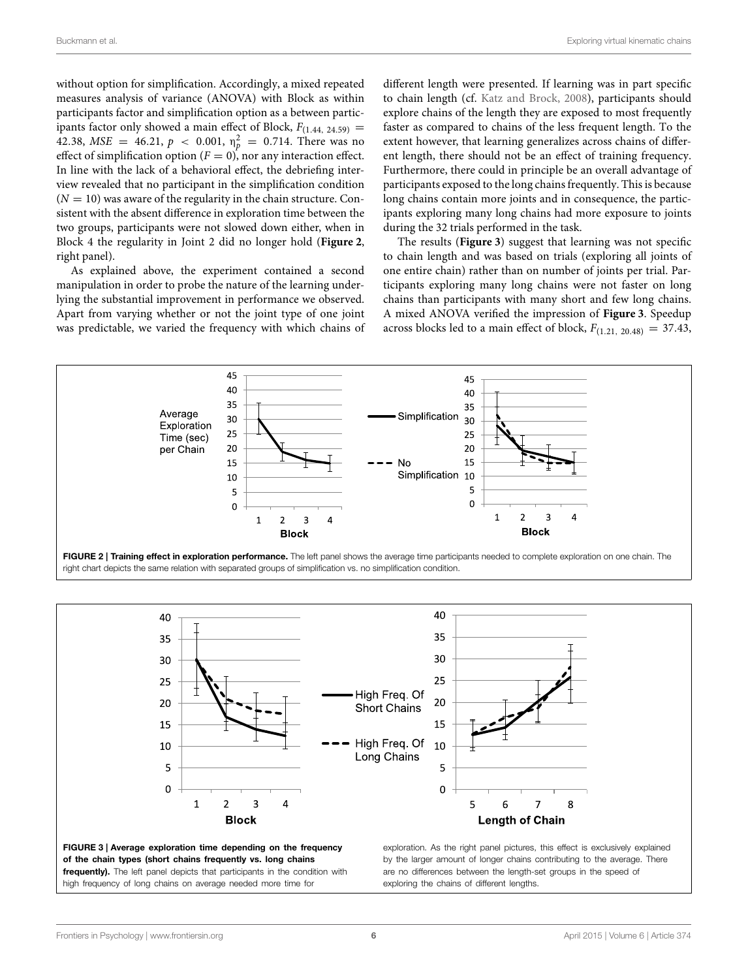without option for simplification. Accordingly, a mixed repeated measures analysis of variance (ANOVA) with Block as within participants factor and simplification option as a between participants factor only showed a main effect of Block,  $F_{(1,44, 24.59)}$  = 42.38,  $MSE = 46.21$ ,  $p < 0.001$ ,  $n_p^2 = 0.714$ . There was no effect of simplification option ( $F = 0$ ), nor any interaction effect. In line with the lack of a behavioral effect, the debriefing interview revealed that no participant in the simplification condition  $(N = 10)$  was aware of the regularity in the chain structure. Consistent with the absent difference in exploration time between the two groups, participants were not slowed down either, when in Block 4 the regularity in Joint 2 did no longer hold (**[Figure 2](#page-5-0)**, right panel).

As explained above, the experiment contained a second manipulation in order to probe the nature of the learning underlying the substantial improvement in performance we observed. Apart from varying whether or not the joint type of one joint was predictable, we varied the frequency with which chains of different length were presented. If learning was in part specific to chain length (cf. [Katz and Brock, 2008\)](#page-15-27), participants should explore chains of the length they are exposed to most frequently faster as compared to chains of the less frequent length. To the extent however, that learning generalizes across chains of different length, there should not be an effect of training frequency. Furthermore, there could in principle be an overall advantage of participants exposed to the long chains frequently. This is because long chains contain more joints and in consequence, the participants exploring many long chains had more exposure to joints during the 32 trials performed in the task.

The results (**[Figure 3](#page-5-1)**) suggest that learning was not specific to chain length and was based on trials (exploring all joints of one entire chain) rather than on number of joints per trial. Participants exploring many long chains were not faster on long chains than participants with many short and few long chains. A mixed ANOVA verified the impression of **[Figure 3](#page-5-1)**. Speedup across blocks led to a main effect of block,  $F_{(1,21, 20.48)} = 37.43$ ,



<span id="page-5-1"></span><span id="page-5-0"></span>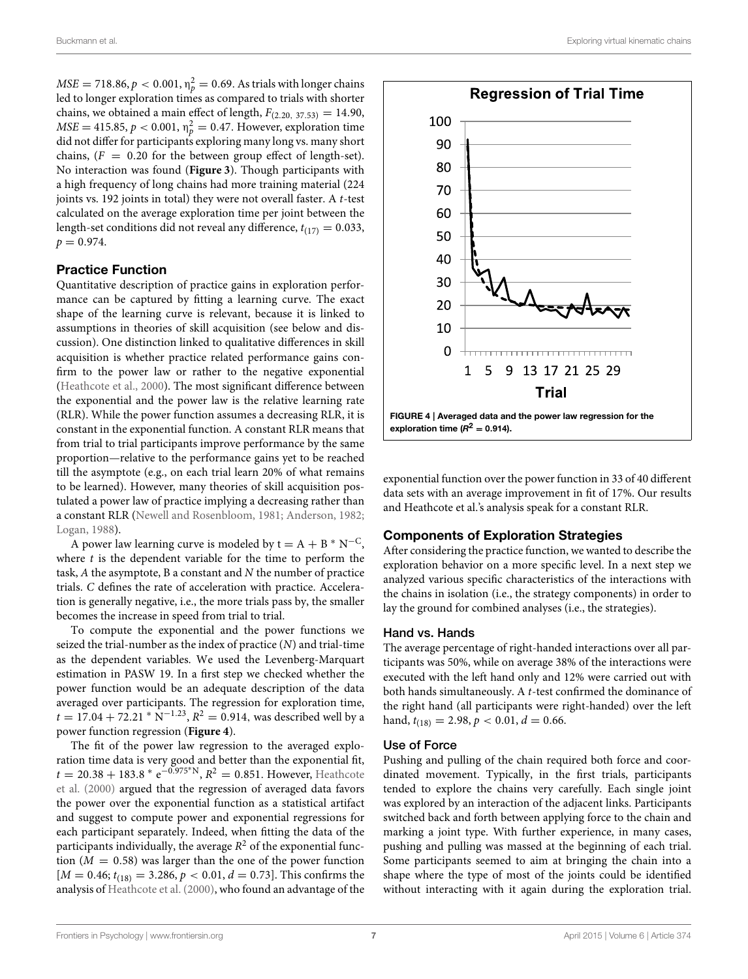$MSE = 718.86, p < 0.001, \eta_p^2 = 0.69.$  As trials with longer chains led to longer exploration times as compared to trials with shorter chains, we obtained a main effect of length,  $F_{(2.20, 37.53)} = 14.90$ ,  $MSE = 415.85, p < 0.001, \, \eta_p^2 = 0.47.$  However, exploration time did not differ for participants exploring many long vs. many short chains,  $(F = 0.20$  for the between group effect of length-set). No interaction was found (**[Figure 3](#page-5-1)**). Though participants with a high frequency of long chains had more training material (224 joints vs. 192 joints in total) they were not overall faster. A t-test calculated on the average exploration time per joint between the length-set conditions did not reveal any difference,  $t_{(17)} = 0.033$ ,  $p = 0.974$ .

### Practice Function

Quantitative description of practice gains in exploration performance can be captured by fitting a learning curve. The exact shape of the learning curve is relevant, because it is linked to assumptions in theories of skill acquisition (see below and discussion). One distinction linked to qualitative differences in skill acquisition is whether practice related performance gains confirm to the power law or rather to the negative exponential [\(Heathcote et al., 2000\)](#page-15-28). The most significant difference between the exponential and the power law is the relative learning rate (RLR). While the power function assumes a decreasing RLR, it is constant in the exponential function. A constant RLR means that from trial to trial participants improve performance by the same proportion—relative to the performance gains yet to be reached till the asymptote (e.g., on each trial learn 20% of what remains to be learned). However, many theories of skill acquisition postulated a power law of practice implying a decreasing rather than a constant RLR [\(Newell and Rosenbloom, 1981;](#page-15-29) [Anderson, 1982;](#page-14-1) [Logan, 1988\)](#page-15-17).

A power law learning curve is modeled by  $t = A + B^* N^{-C}$ , where  $t$  is the dependent variable for the time to perform the task,  $A$  the asymptote,  $B$  a constant and  $N$  the number of practice trials. C defines the rate of acceleration with practice. Acceleration is generally negative, i.e., the more trials pass by, the smaller becomes the increase in speed from trial to trial.

To compute the exponential and the power functions we seized the trial-number as the index of practice  $(N)$  and trial-time as the dependent variables. We used the Levenberg-Marquart estimation in PASW 19. In a first step we checked whether the power function would be an adequate description of the data averaged over participants. The regression for exploration time,  $t = 17.04 + 72.21 * N^{-1.23}$ ,  $R^2 = 0.914$ , was described well by a power function regression (**[Figure 4](#page-6-0)**).

The fit of the power law regression to the averaged exploration time data is very good and better than the exponential fit,  $t = 20.38 + 183.8 * e^{-0.975 * N}, R^2 = 0.851$ . However, Heathcote et al. [\(2000\)](#page-15-28) argued that the regression of averaged data favors the power over the exponential function as a statistical artifact and suggest to compute power and exponential regressions for each participant separately. Indeed, when fitting the data of the participants individually, the average  $R^2$  of the exponential function  $(M = 0.58)$  was larger than the one of the power function  $[M = 0.46; t_{(18)} = 3.286, p < 0.01, d = 0.73]$ . This confirms the analysis of [Heathcote et al. \(2000\)](#page-15-28), who found an advantage of the



<span id="page-6-0"></span>FIGURE 4 | Averaged data and the power law regression for the exploration time ( $R^2 = 0.914$ ).

exponential function over the power function in 33 of 40 different data sets with an average improvement in fit of 17%. Our results and Heathcote et al.'s analysis speak for a constant RLR.

#### Components of Exploration Strategies

After considering the practice function, we wanted to describe the exploration behavior on a more specific level. In a next step we analyzed various specific characteristics of the interactions with the chains in isolation (i.e., the strategy components) in order to lay the ground for combined analyses (i.e., the strategies).

#### Hand vs. Hands

The average percentage of right-handed interactions over all participants was 50%, while on average 38% of the interactions were executed with the left hand only and 12% were carried out with both hands simultaneously. A t-test confirmed the dominance of the right hand (all participants were right-handed) over the left hand,  $t_{(18)} = 2.98$ ,  $p < 0.01$ ,  $d = 0.66$ .

#### Use of Force

Pushing and pulling of the chain required both force and coordinated movement. Typically, in the first trials, participants tended to explore the chains very carefully. Each single joint was explored by an interaction of the adjacent links. Participants switched back and forth between applying force to the chain and marking a joint type. With further experience, in many cases, pushing and pulling was massed at the beginning of each trial. Some participants seemed to aim at bringing the chain into a shape where the type of most of the joints could be identified without interacting with it again during the exploration trial.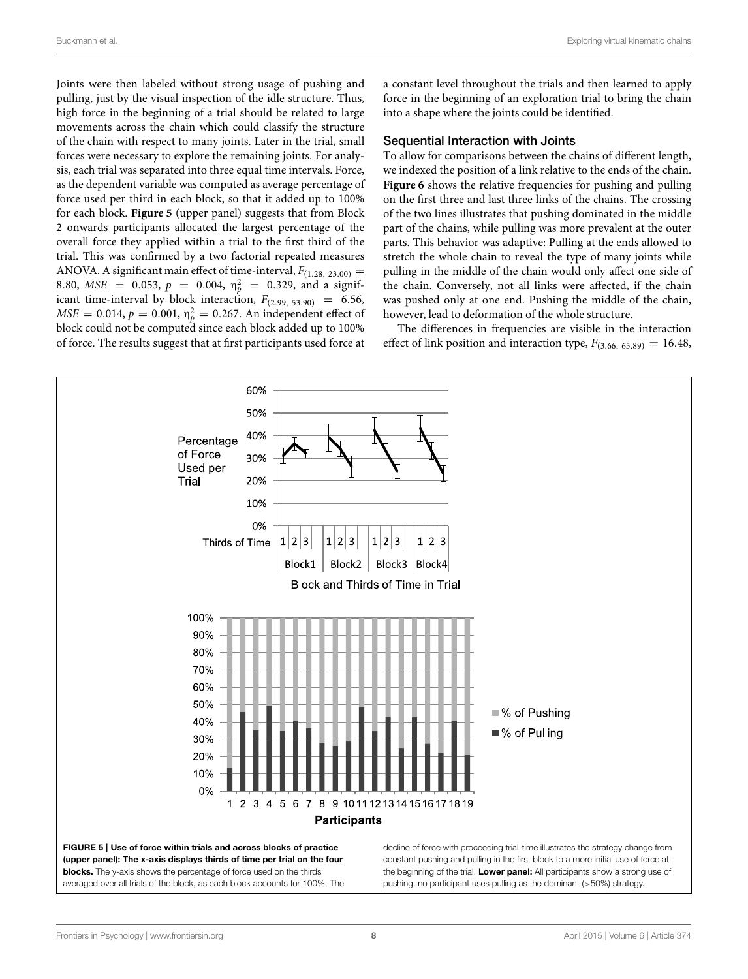Joints were then labeled without strong usage of pushing and pulling, just by the visual inspection of the idle structure. Thus, high force in the beginning of a trial should be related to large movements across the chain which could classify the structure of the chain with respect to many joints. Later in the trial, small forces were necessary to explore the remaining joints. For analysis, each trial was separated into three equal time intervals. Force, as the dependent variable was computed as average percentage of force used per third in each block, so that it added up to 100% for each block. **[Figure 5](#page-7-0)** (upper panel) suggests that from Block 2 onwards participants allocated the largest percentage of the overall force they applied within a trial to the first third of the trial. This was confirmed by a two factorial repeated measures ANOVA. A significant main effect of time-interval,  $F_{(1.28, 23.00)} =$ 8.80,  $MSE = 0.053$ ,  $p = 0.004$ ,  $\eta_p^2 = 0.329$ , and a significant time-interval by block interaction,  $F_{(2.99, 53.90)} = 6.56$ ,  $MSE = 0.014$ ,  $p = 0.001$ ,  $\eta_p^2 = 0.267$ . An independent effect of block could not be computed since each block added up to 100% of force. The results suggest that at first participants used force at

a constant level throughout the trials and then learned to apply force in the beginning of an exploration trial to bring the chain into a shape where the joints could be identified.

### Sequential Interaction with Joints

To allow for comparisons between the chains of different length, we indexed the position of a link relative to the ends of the chain. **[Figure 6](#page-8-0)** shows the relative frequencies for pushing and pulling on the first three and last three links of the chains. The crossing of the two lines illustrates that pushing dominated in the middle part of the chains, while pulling was more prevalent at the outer parts. This behavior was adaptive: Pulling at the ends allowed to stretch the whole chain to reveal the type of many joints while pulling in the middle of the chain would only affect one side of the chain. Conversely, not all links were affected, if the chain was pushed only at one end. Pushing the middle of the chain, however, lead to deformation of the whole structure.

The differences in frequencies are visible in the interaction effect of link position and interaction type,  $F_{(3,66, 65,89)} = 16.48$ ,

<span id="page-7-0"></span>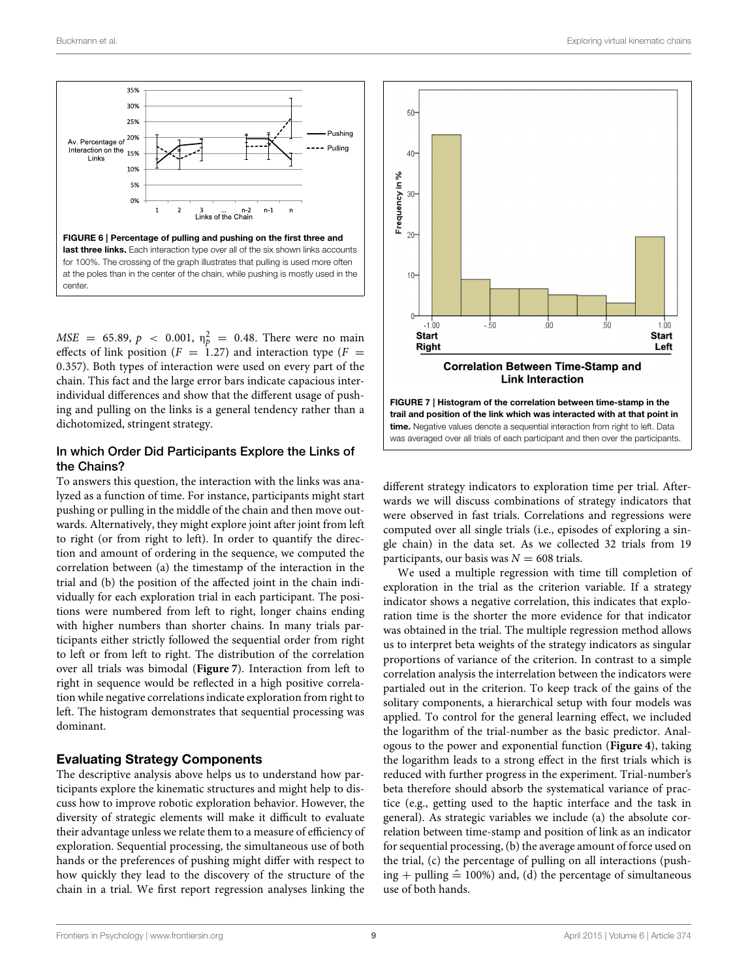

<span id="page-8-0"></span> $MSE$  = 65.89,  $p$  < 0.001,  $\eta_p^2$  = 0.48. There were no main effects of link position ( $F = 1.27$ ) and interaction type ( $F =$ 0.357). Both types of interaction were used on every part of the chain. This fact and the large error bars indicate capacious interindividual differences and show that the different usage of pushing and pulling on the links is a general tendency rather than a dichotomized, stringent strategy.

### In which Order Did Participants Explore the Links of the Chains?

To answers this question, the interaction with the links was analyzed as a function of time. For instance, participants might start pushing or pulling in the middle of the chain and then move outwards. Alternatively, they might explore joint after joint from left to right (or from right to left). In order to quantify the direction and amount of ordering in the sequence, we computed the correlation between (a) the timestamp of the interaction in the trial and (b) the position of the affected joint in the chain individually for each exploration trial in each participant. The positions were numbered from left to right, longer chains ending with higher numbers than shorter chains. In many trials participants either strictly followed the sequential order from right to left or from left to right. The distribution of the correlation over all trials was bimodal (**[Figure 7](#page-8-1)**). Interaction from left to right in sequence would be reflected in a high positive correlation while negative correlations indicate exploration from right to left. The histogram demonstrates that sequential processing was dominant.

### Evaluating Strategy Components

The descriptive analysis above helps us to understand how participants explore the kinematic structures and might help to discuss how to improve robotic exploration behavior. However, the diversity of strategic elements will make it difficult to evaluate their advantage unless we relate them to a measure of efficiency of exploration. Sequential processing, the simultaneous use of both hands or the preferences of pushing might differ with respect to how quickly they lead to the discovery of the structure of the chain in a trial. We first report regression analyses linking the



<span id="page-8-1"></span>different strategy indicators to exploration time per trial. Afterwards we will discuss combinations of strategy indicators that were observed in fast trials. Correlations and regressions were computed over all single trials (i.e., episodes of exploring a single chain) in the data set. As we collected 32 trials from 19 participants, our basis was  $N = 608$  trials.

We used a multiple regression with time till completion of exploration in the trial as the criterion variable. If a strategy indicator shows a negative correlation, this indicates that exploration time is the shorter the more evidence for that indicator was obtained in the trial. The multiple regression method allows us to interpret beta weights of the strategy indicators as singular proportions of variance of the criterion. In contrast to a simple correlation analysis the interrelation between the indicators were partialed out in the criterion. To keep track of the gains of the solitary components, a hierarchical setup with four models was applied. To control for the general learning effect, we included the logarithm of the trial-number as the basic predictor. Analogous to the power and exponential function (**[Figure 4](#page-6-0)**), taking the logarithm leads to a strong effect in the first trials which is reduced with further progress in the experiment. Trial-number's beta therefore should absorb the systematical variance of practice (e.g., getting used to the haptic interface and the task in general). As strategic variables we include (a) the absolute correlation between time-stamp and position of link as an indicator for sequential processing, (b) the average amount of force used on the trial, (c) the percentage of pulling on all interactions (pushing + pulling  $\hat{=}$  100%) and, (d) the percentage of simultaneous use of both hands.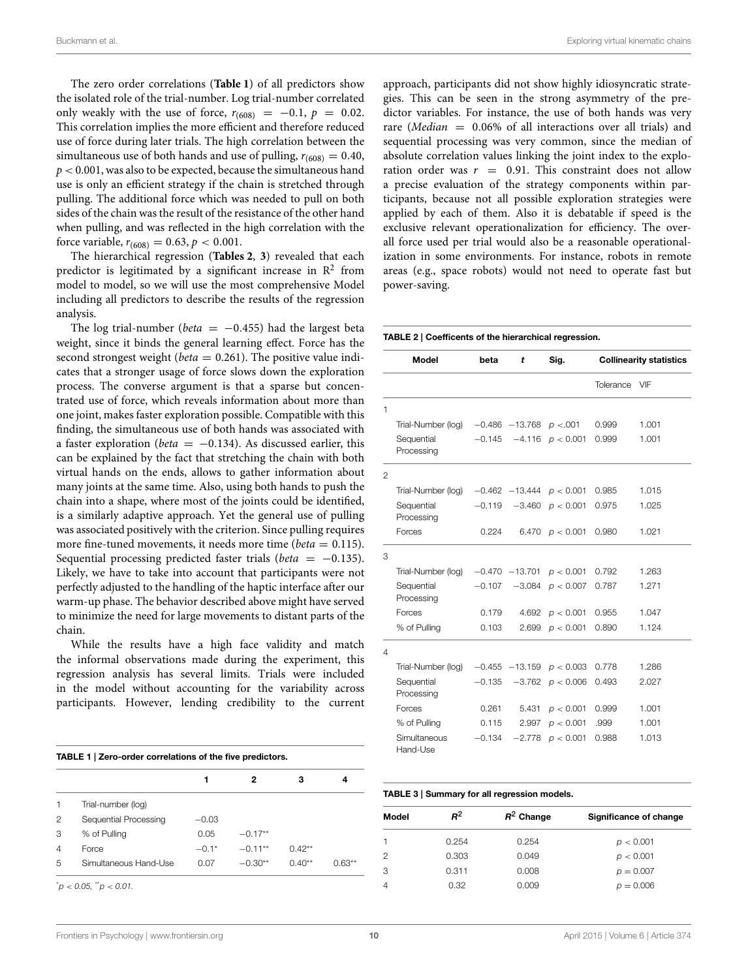The zero order correlations (**[Table 1](#page-9-0)**) of all predictors show the isolated role of the trial-number. Log trial-number correlated only weakly with the use of force,  $r_{(608)} = -0.1$ ,  $p = 0.02$ . This correlation implies the more efficient and therefore reduced use of force during later trials. The high correlation between the simultaneous use of both hands and use of pulling,  $r_{(608)} = 0.40$ ,  $p < 0.001$ , was also to be expected, because the simultaneous hand use is only an efficient strategy if the chain is stretched through pulling. The additional force which was needed to pull on both sides of the chain was the result of the resistance of the other hand when pulling, and was reflected in the high correlation with the force variable,  $r_{(608)} = 0.63$ ,  $p < 0.001$ .

The hierarchical regression (**[Tables 2](#page-9-1)**, **[3](#page-9-2)**) revealed that each predictor is legitimated by a significant increase in  $\mathbb{R}^2$  from model to model, so we will use the most comprehensive Model including all predictors to describe the results of the regression analysis.

The log trial-number ( $beta = -0.455$ ) had the largest beta weight, since it binds the general learning effect. Force has the second strongest weight (*beta* = 0.261). The positive value indicates that a stronger usage of force slows down the exploration process. The converse argument is that a sparse but concentrated use of force, which reveals information about more than one joint, makes faster exploration possible. Compatible with this finding, the simultaneous use of both hands was associated with a faster exploration (*beta* =  $-0.134$ ). As discussed earlier, this can be explained by the fact that stretching the chain with both virtual hands on the ends, allows to gather information about many joints at the same time. Also, using both hands to push the chain into a shape, where most of the joints could be identified, is a similarly adaptive approach. Yet the general use of pulling was associated positively with the criterion. Since pulling requires more fine-tuned movements, it needs more time ( $beta = 0.115$ ). Sequential processing predicted faster trials ( $beta = -0.135$ ). Likely, we have to take into account that participants were not perfectly adjusted to the handling of the haptic interface after our warm-up phase. The behavior described above might have served to minimize the need for large movements to distant parts of the chain.

While the results have a high face validity and match the informal observations made during the experiment, this regression analysis has several limits. Trials were included in the model without accounting for the variability across participants. However, lending credibility to the current

<span id="page-9-0"></span>

|   |                       | 1       | 2         | з        | 4        |
|---|-----------------------|---------|-----------|----------|----------|
| 1 | Trial-number (log)    |         |           |          |          |
| 2 | Sequential Processing | $-0.03$ |           |          |          |
| 3 | % of Pulling          | 0.05    | $-0.17**$ |          |          |
| 4 | Force                 | $-0.1*$ | $-0.11**$ | $0.42**$ |          |
| 5 | Simultaneous Hand-Use | 0.07    | $-0.30**$ | $0.40**$ | $0.63**$ |

approach, participants did not show highly idiosyncratic strategies. This can be seen in the strong asymmetry of the predictor variables. For instance, the use of both hands was very rare (*Median*  $= 0.06\%$  of all interactions over all trials) and sequential processing was very common, since the median of absolute correlation values linking the joint index to the exploration order was  $r = 0.91$ . This constraint does not allow a precise evaluation of the strategy components within participants, because not all possible exploration strategies were applied by each of them. Also it is debatable if speed is the exclusive relevant operationalization for efficiency. The overall force used per trial would also be a reasonable operationalization in some environments. For instance, robots in remote areas (e.g., space robots) would not need to operate fast but power-saving.

#### <span id="page-9-1"></span>TABLE 2 | Coefficents of the hierarchical regression.

|                | Model                    | beta     | $\mathbf t$      | Sig.      | <b>Collinearity statistics</b> |       |
|----------------|--------------------------|----------|------------------|-----------|--------------------------------|-------|
|                |                          |          |                  |           | Tolerance                      | VIF   |
| 1              |                          |          |                  |           |                                |       |
|                | Trial-Number (log)       |          | $-0.486 -13.768$ | p < .001  | 0.999                          | 1.001 |
|                | Sequential<br>Processing | $-0.145$ | $-4.116$         | p < 0.001 | 0.999                          | 1.001 |
| $\mathfrak{p}$ |                          |          |                  |           |                                |       |
|                | Trial-Number (log)       |          | $-0.462 -13.444$ | p < 0.001 | 0.985                          | 1.015 |
|                | Sequential<br>Processing | $-0.119$ | $-3.460$         | p < 0.001 | 0.975                          | 1.025 |
|                | Forces                   | 0.224    | 6.470            | p < 0.001 | 0.980                          | 1.021 |
| 3              |                          |          |                  |           |                                |       |
|                | Trial-Number (log)       |          | $-0.470 -13.701$ | p < 0.001 | 0.792                          | 1.263 |
|                | Sequential<br>Processing | $-0.107$ | $-3.084$         | p < 0.007 | 0.787                          | 1.271 |
|                | Forces                   | 0.179    | 4.692            | p < 0.001 | 0.955                          | 1.047 |
|                | % of Pulling             | 0.103    | 2.699            | p < 0.001 | 0.890                          | 1.124 |
| 4              |                          |          |                  |           |                                |       |
|                | Trial-Number (log)       | $-0.455$ | $-13.159$        | p < 0.003 | 0.778                          | 1.286 |
|                | Sequential<br>Processing | $-0.135$ | $-3.762$         | p < 0.006 | 0.493                          | 2.027 |
|                | Forces                   | 0.261    | 5.431            | p < 0.001 | 0.999                          | 1.001 |
|                | % of Pulling             | 0.115    | 2.997            | p < 0.001 | .999                           | 1.001 |
|                | Simultaneous<br>Hand-Use | $-0.134$ | $-2.778$         | p < 0.001 | 0.988                          | 1.013 |

#### <span id="page-9-2"></span>TABLE 3 | Summary for all regression models.

| Model          | $R^2$ | $R^2$ Change | Significance of change |
|----------------|-------|--------------|------------------------|
|                | 0.254 | 0.254        | p < 0.001              |
| 2              | 0.303 | 0.049        | p < 0.001              |
| 3              | 0.311 | 0.008        | $p = 0.007$            |
| $\overline{4}$ | 0.32  | 0.009        | $p = 0.006$            |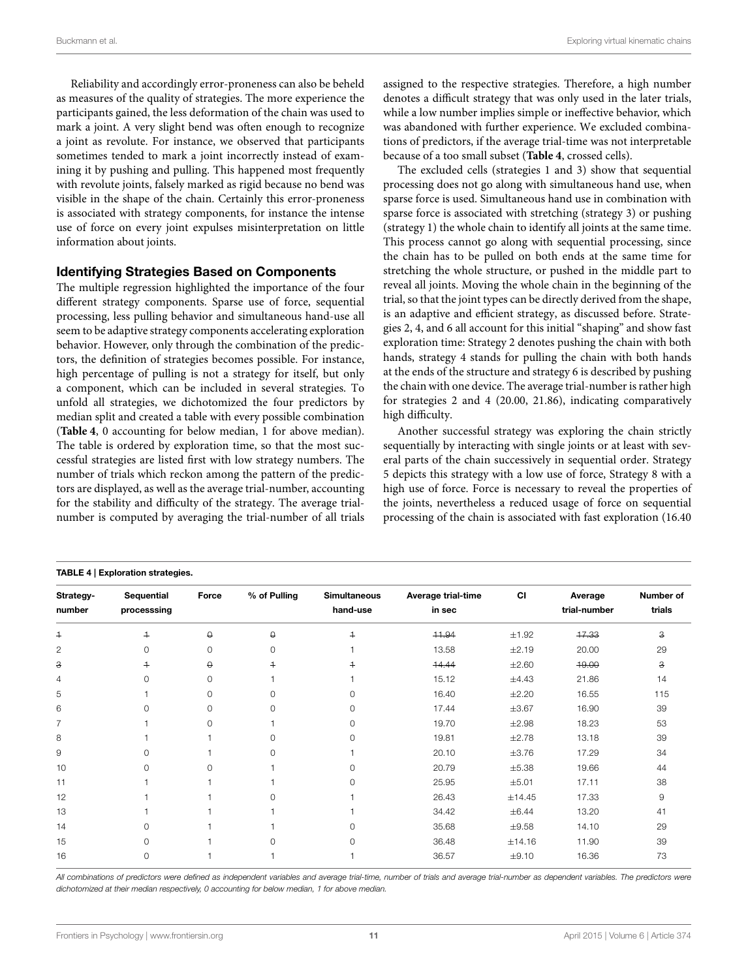Reliability and accordingly error-proneness can also be beheld as measures of the quality of strategies. The more experience the participants gained, the less deformation of the chain was used to mark a joint. A very slight bend was often enough to recognize a joint as revolute. For instance, we observed that participants sometimes tended to mark a joint incorrectly instead of examining it by pushing and pulling. This happened most frequently with revolute joints, falsely marked as rigid because no bend was visible in the shape of the chain. Certainly this error-proneness is associated with strategy components, for instance the intense use of force on every joint expulses misinterpretation on little information about joints.

#### Identifying Strategies Based on Components

The multiple regression highlighted the importance of the four different strategy components. Sparse use of force, sequential processing, less pulling behavior and simultaneous hand-use all seem to be adaptive strategy components accelerating exploration behavior. However, only through the combination of the predictors, the definition of strategies becomes possible. For instance, high percentage of pulling is not a strategy for itself, but only a component, which can be included in several strategies. To unfold all strategies, we dichotomized the four predictors by median split and created a table with every possible combination (**[Table 4](#page-10-0)**, 0 accounting for below median, 1 for above median). The table is ordered by exploration time, so that the most successful strategies are listed first with low strategy numbers. The number of trials which reckon among the pattern of the predictors are displayed, as well as the average trial-number, accounting for the stability and difficulty of the strategy. The average trialnumber is computed by averaging the trial-number of all trials

#### <span id="page-10-0"></span>TABLE 4 | Exploration strategies

assigned to the respective strategies. Therefore, a high number denotes a difficult strategy that was only used in the later trials, while a low number implies simple or ineffective behavior, which was abandoned with further experience. We excluded combinations of predictors, if the average trial-time was not interpretable because of a too small subset (**[Table 4](#page-10-0)**, crossed cells).

The excluded cells (strategies 1 and 3) show that sequential processing does not go along with simultaneous hand use, when sparse force is used. Simultaneous hand use in combination with sparse force is associated with stretching (strategy 3) or pushing (strategy 1) the whole chain to identify all joints at the same time. This process cannot go along with sequential processing, since the chain has to be pulled on both ends at the same time for stretching the whole structure, or pushed in the middle part to reveal all joints. Moving the whole chain in the beginning of the trial, so that the joint types can be directly derived from the shape, is an adaptive and efficient strategy, as discussed before. Strategies 2, 4, and 6 all account for this initial "shaping" and show fast exploration time: Strategy 2 denotes pushing the chain with both hands, strategy 4 stands for pulling the chain with both hands at the ends of the structure and strategy 6 is described by pushing the chain with one device. The average trial-number is rather high for strategies 2 and 4 (20.00, 21.86), indicating comparatively high difficulty.

Another successful strategy was exploring the chain strictly sequentially by interacting with single joints or at least with several parts of the chain successively in sequential order. Strategy 5 depicts this strategy with a low use of force, Strategy 8 with a high use of force. Force is necessary to reveal the properties of the joints, nevertheless a reduced usage of force on sequential processing of the chain is associated with fast exploration (16.40

| Strategy-      | Sequential     | Force       | % of Pulling   | <b>Simultaneous</b> | Average trial-time | <b>CI</b>  | Average      | Number of |
|----------------|----------------|-------------|----------------|---------------------|--------------------|------------|--------------|-----------|
| number         | processsing    |             |                | hand-use            | in sec             |            | trial-number | trials    |
| $\overline{+}$ | $\ddagger$     | 0           | $\Theta$       | $\ddagger$          | 44.94              | ±1.92      | 17.33        | a,        |
| $\overline{c}$ | $\Omega$       | 0           | 0              |                     | 13.58              | $\pm 2.19$ | 20.00        | 29        |
| a,             | $\overline{+}$ | $\Theta$    | $\overline{+}$ | $^{+}$              | 14.44              | $\pm 2.60$ | 49.00        | a,        |
| $\overline{4}$ | $\Omega$       | 0           |                |                     | 15.12              | $\pm 4.43$ | 21.86        | 14        |
| 5              |                | $\mathbf 0$ | $\Omega$       | 0                   | 16.40              | $\pm 2.20$ | 16.55        | 115       |
| 6              | <sup>0</sup>   | $\circ$     | 0              | 0                   | 17.44              | $\pm 3.67$ | 16.90        | 39        |
| 7              |                | 0           |                | 0                   | 19.70              | $\pm 2.98$ | 18.23        | 53        |
| 8              |                |             | $\Omega$       | 0                   | 19.81              | $\pm 2.78$ | 13.18        | 39        |
| $\mathsf 9$    | <sup>0</sup>   |             | $\Omega$       |                     | 20.10              | $\pm 3.76$ | 17.29        | 34        |
| 10             | <sup>0</sup>   | $\circ$     |                | 0                   | 20.79              | $\pm 5.38$ | 19.66        | 44        |
| 11             |                |             |                | 0                   | 25.95              | $\pm 5.01$ | 17.11        | 38        |
| 12             |                |             | $\Omega$       |                     | 26.43              | ±14.45     | 17.33        | 9         |
| 13             |                |             |                |                     | 34.42              | $\pm 6.44$ | 13.20        | 41        |
| 14             | $\Omega$       |             |                | 0                   | 35.68              | $\pm 9.58$ | 14.10        | 29        |
| 15             | $\Omega$       |             | $\Omega$       | 0                   | 36.48              | ±14.16     | 11.90        | 39        |
| 16             | $\Omega$       |             |                |                     | 36.57              | ±9.10      | 16.36        | 73        |
|                |                |             |                |                     |                    |            |              |           |

All combinations of predictors were defined as independent variables and average trial-time, number of trials and average trial-number as dependent variables. The predictors were dichotomized at their median respectively, 0 accounting for below median, 1 for above median.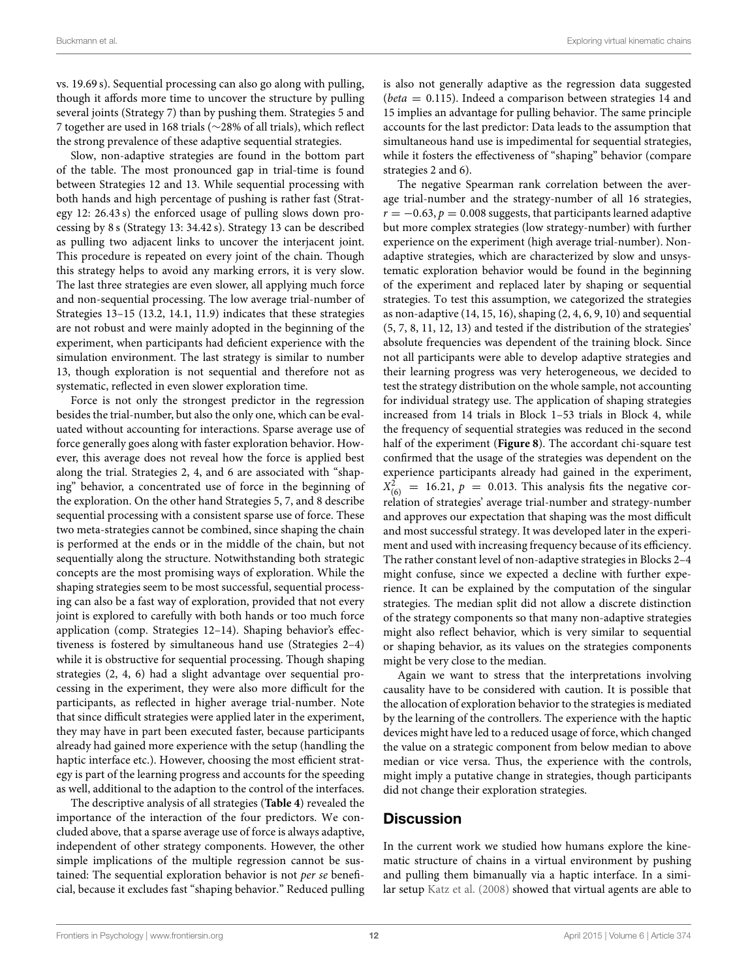vs. 19.69 s). Sequential processing can also go along with pulling, though it affords more time to uncover the structure by pulling several joints (Strategy 7) than by pushing them. Strategies 5 and 7 together are used in 168 trials (∼28% of all trials), which reflect the strong prevalence of these adaptive sequential strategies.

Slow, non-adaptive strategies are found in the bottom part of the table. The most pronounced gap in trial-time is found between Strategies 12 and 13. While sequential processing with both hands and high percentage of pushing is rather fast (Strategy 12: 26.43 s) the enforced usage of pulling slows down processing by 8 s (Strategy 13: 34.42 s). Strategy 13 can be described as pulling two adjacent links to uncover the interjacent joint. This procedure is repeated on every joint of the chain. Though this strategy helps to avoid any marking errors, it is very slow. The last three strategies are even slower, all applying much force and non-sequential processing. The low average trial-number of Strategies 13–15 (13.2, 14.1, 11.9) indicates that these strategies are not robust and were mainly adopted in the beginning of the experiment, when participants had deficient experience with the simulation environment. The last strategy is similar to number 13, though exploration is not sequential and therefore not as systematic, reflected in even slower exploration time.

Force is not only the strongest predictor in the regression besides the trial-number, but also the only one, which can be evaluated without accounting for interactions. Sparse average use of force generally goes along with faster exploration behavior. However, this average does not reveal how the force is applied best along the trial. Strategies 2, 4, and 6 are associated with "shaping" behavior, a concentrated use of force in the beginning of the exploration. On the other hand Strategies 5, 7, and 8 describe sequential processing with a consistent sparse use of force. These two meta-strategies cannot be combined, since shaping the chain is performed at the ends or in the middle of the chain, but not sequentially along the structure. Notwithstanding both strategic concepts are the most promising ways of exploration. While the shaping strategies seem to be most successful, sequential processing can also be a fast way of exploration, provided that not every joint is explored to carefully with both hands or too much force application (comp. Strategies 12–14). Shaping behavior's effectiveness is fostered by simultaneous hand use (Strategies 2–4) while it is obstructive for sequential processing. Though shaping strategies (2, 4, 6) had a slight advantage over sequential processing in the experiment, they were also more difficult for the participants, as reflected in higher average trial-number. Note that since difficult strategies were applied later in the experiment, they may have in part been executed faster, because participants already had gained more experience with the setup (handling the haptic interface etc.). However, choosing the most efficient strategy is part of the learning progress and accounts for the speeding as well, additional to the adaption to the control of the interfaces.

The descriptive analysis of all strategies (**[Table 4](#page-10-0)**) revealed the importance of the interaction of the four predictors. We concluded above, that a sparse average use of force is always adaptive, independent of other strategy components. However, the other simple implications of the multiple regression cannot be sustained: The sequential exploration behavior is not per se beneficial, because it excludes fast "shaping behavior." Reduced pulling is also not generally adaptive as the regression data suggested (*beta* = 0.115). Indeed a comparison between strategies 14 and 15 implies an advantage for pulling behavior. The same principle accounts for the last predictor: Data leads to the assumption that simultaneous hand use is impedimental for sequential strategies, while it fosters the effectiveness of "shaping" behavior (compare strategies 2 and 6).

The negative Spearman rank correlation between the average trial-number and the strategy-number of all 16 strategies,  $r = -0.63$ ,  $p = 0.008$  suggests, that participants learned adaptive but more complex strategies (low strategy-number) with further experience on the experiment (high average trial-number). Nonadaptive strategies, which are characterized by slow and unsystematic exploration behavior would be found in the beginning of the experiment and replaced later by shaping or sequential strategies. To test this assumption, we categorized the strategies as non-adaptive (14, 15, 16), shaping (2, 4, 6, 9, 10) and sequential (5, 7, 8, 11, 12, 13) and tested if the distribution of the strategies' absolute frequencies was dependent of the training block. Since not all participants were able to develop adaptive strategies and their learning progress was very heterogeneous, we decided to test the strategy distribution on the whole sample, not accounting for individual strategy use. The application of shaping strategies increased from 14 trials in Block 1–53 trials in Block 4, while the frequency of sequential strategies was reduced in the second half of the experiment (**[Figure 8](#page-12-0)**). The accordant chi-square test confirmed that the usage of the strategies was dependent on the experience participants already had gained in the experiment,  $X_{(6)}^2 = 16.21$ ,  $p = 0.013$ . This analysis fits the negative correlation of strategies' average trial-number and strategy-number and approves our expectation that shaping was the most difficult and most successful strategy. It was developed later in the experiment and used with increasing frequency because of its efficiency. The rather constant level of non-adaptive strategies in Blocks 2–4 might confuse, since we expected a decline with further experience. It can be explained by the computation of the singular strategies. The median split did not allow a discrete distinction of the strategy components so that many non-adaptive strategies might also reflect behavior, which is very similar to sequential or shaping behavior, as its values on the strategies components might be very close to the median.

Again we want to stress that the interpretations involving causality have to be considered with caution. It is possible that the allocation of exploration behavior to the strategies is mediated by the learning of the controllers. The experience with the haptic devices might have led to a reduced usage of force, which changed the value on a strategic component from below median to above median or vice versa. Thus, the experience with the controls, might imply a putative change in strategies, though participants did not change their exploration strategies.

### **Discussion**

In the current work we studied how humans explore the kinematic structure of chains in a virtual environment by pushing and pulling them bimanually via a haptic interface. In a similar setup [Katz et al. \(2008\)](#page-15-4) showed that virtual agents are able to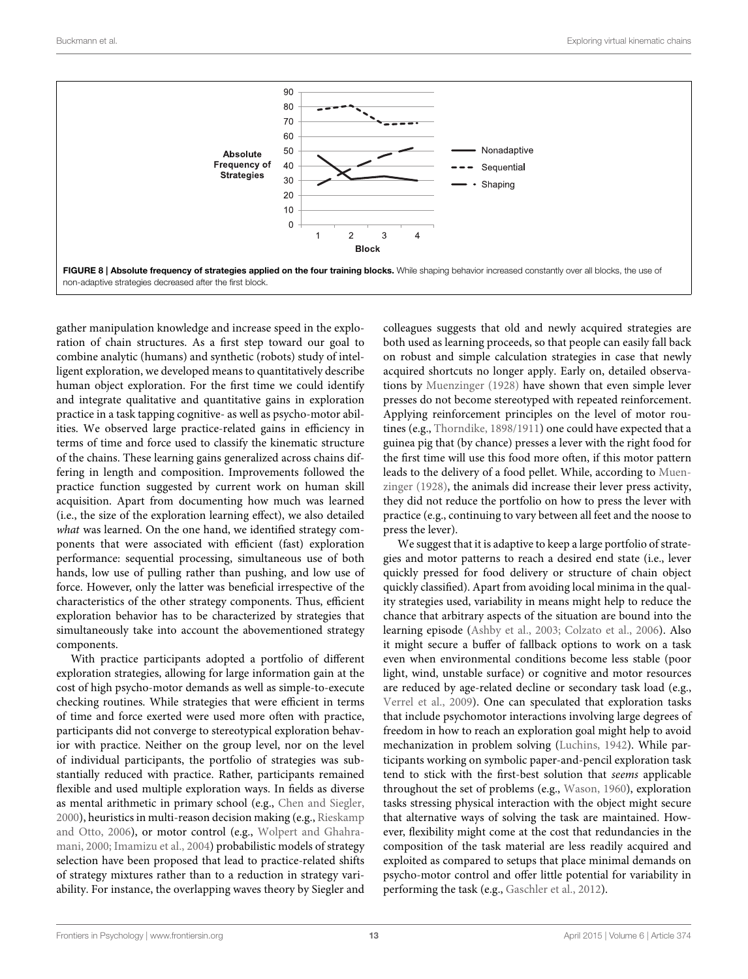

<span id="page-12-0"></span>gather manipulation knowledge and increase speed in the exploration of chain structures. As a first step toward our goal to combine analytic (humans) and synthetic (robots) study of intelligent exploration, we developed means to quantitatively describe human object exploration. For the first time we could identify and integrate qualitative and quantitative gains in exploration practice in a task tapping cognitive- as well as psycho-motor abilities. We observed large practice-related gains in efficiency in terms of time and force used to classify the kinematic structure of the chains. These learning gains generalized across chains differing in length and composition. Improvements followed the practice function suggested by current work on human skill acquisition. Apart from documenting how much was learned (i.e., the size of the exploration learning effect), we also detailed what was learned. On the one hand, we identified strategy components that were associated with efficient (fast) exploration performance: sequential processing, simultaneous use of both hands, low use of pulling rather than pushing, and low use of force. However, only the latter was beneficial irrespective of the characteristics of the other strategy components. Thus, efficient exploration behavior has to be characterized by strategies that simultaneously take into account the abovementioned strategy components.

With practice participants adopted a portfolio of different exploration strategies, allowing for large information gain at the cost of high psycho-motor demands as well as simple-to-execute checking routines. While strategies that were efficient in terms of time and force exerted were used more often with practice, participants did not converge to stereotypical exploration behavior with practice. Neither on the group level, nor on the level of individual participants, the portfolio of strategies was substantially reduced with practice. Rather, participants remained flexible and used multiple exploration ways. In fields as diverse as mental arithmetic in primary school (e.g., [Chen and Siegler,](#page-15-30) [2000\)](#page-15-30), heuristics in multi-reason decision making (e.g., Rieskamp and Otto, [2006\)](#page-15-31), or motor control (e.g., Wolpert and Ghahramani, [2000;](#page-16-5) [Imamizu et al., 2004\)](#page-15-32) probabilistic models of strategy selection have been proposed that lead to practice-related shifts of strategy mixtures rather than to a reduction in strategy variability. For instance, the overlapping waves theory by Siegler and colleagues suggests that old and newly acquired strategies are both used as learning proceeds, so that people can easily fall back on robust and simple calculation strategies in case that newly acquired shortcuts no longer apply. Early on, detailed observations by [Muenzinger \(1928\)](#page-15-33) have shown that even simple lever presses do not become stereotyped with repeated reinforcement. Applying reinforcement principles on the level of motor routines (e.g., [Thorndike, 1898/1911\)](#page-15-34) one could have expected that a guinea pig that (by chance) presses a lever with the right food for the first time will use this food more often, if this motor pattern leads to the delivery of a food pellet. While, according to Muenzinger [\(1928\)](#page-15-33), the animals did increase their lever press activity, they did not reduce the portfolio on how to press the lever with practice (e.g., continuing to vary between all feet and the noose to press the lever).

We suggest that it is adaptive to keep a large portfolio of strategies and motor patterns to reach a desired end state (i.e., lever quickly pressed for food delivery or structure of chain object quickly classified). Apart from avoiding local minima in the quality strategies used, variability in means might help to reduce the chance that arbitrary aspects of the situation are bound into the learning episode [\(Ashby et al., 2003;](#page-15-23) [Colzato et al., 2006\)](#page-15-35). Also it might secure a buffer of fallback options to work on a task even when environmental conditions become less stable (poor light, wind, unstable surface) or cognitive and motor resources are reduced by age-related decline or secondary task load (e.g., [Verrel et al., 2009\)](#page-15-21). One can speculated that exploration tasks that include psychomotor interactions involving large degrees of freedom in how to reach an exploration goal might help to avoid mechanization in problem solving [\(Luchins, 1942\)](#page-15-36). While participants working on symbolic paper-and-pencil exploration task tend to stick with the first-best solution that seems applicable throughout the set of problems (e.g., [Wason, 1960\)](#page-16-0), exploration tasks stressing physical interaction with the object might secure that alternative ways of solving the task are maintained. However, flexibility might come at the cost that redundancies in the composition of the task material are less readily acquired and exploited as compared to setups that place minimal demands on psycho-motor control and offer little potential for variability in performing the task (e.g., [Gaschler et al., 2012\)](#page-15-9).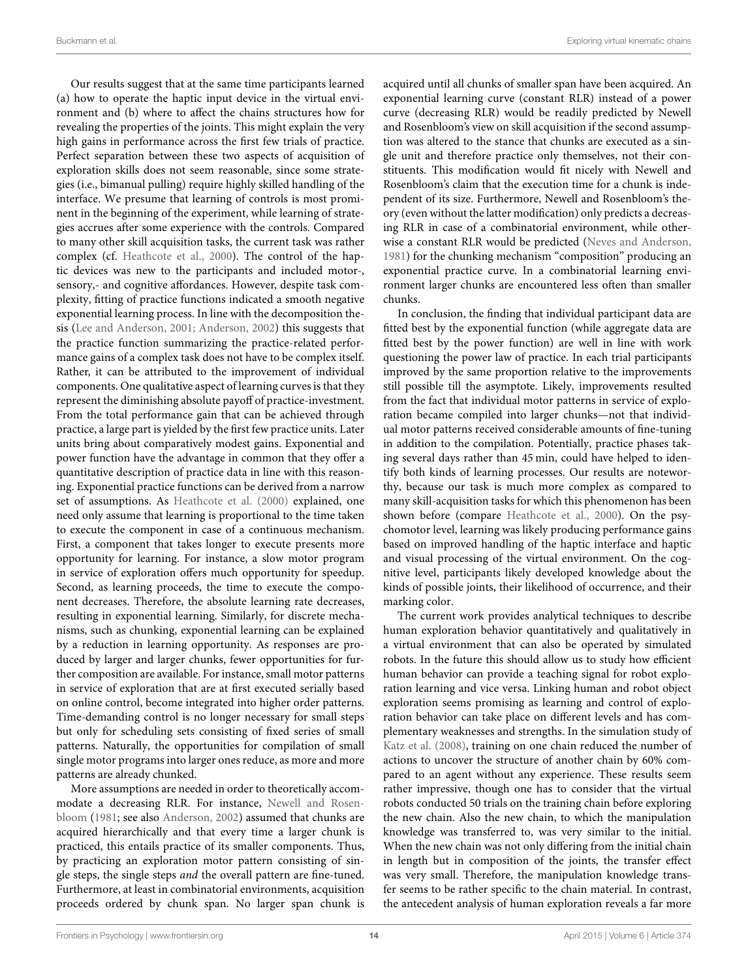Our results suggest that at the same time participants learned (a) how to operate the haptic input device in the virtual environment and (b) where to affect the chains structures how for revealing the properties of the joints. This might explain the very high gains in performance across the first few trials of practice. Perfect separation between these two aspects of acquisition of exploration skills does not seem reasonable, since some strategies (i.e., bimanual pulling) require highly skilled handling of the interface. We presume that learning of controls is most prominent in the beginning of the experiment, while learning of strategies accrues after some experience with the controls. Compared to many other skill acquisition tasks, the current task was rather complex (cf. [Heathcote et al., 2000\)](#page-15-28). The control of the haptic devices was new to the participants and included motor-, sensory,- and cognitive affordances. However, despite task complexity, fitting of practice functions indicated a smooth negative exponential learning process. In line with the decomposition thesis [\(Lee and Anderson, 2001;](#page-15-37) [Anderson, 2002\)](#page-15-24) this suggests that the practice function summarizing the practice-related performance gains of a complex task does not have to be complex itself. Rather, it can be attributed to the improvement of individual components. One qualitative aspect of learning curves is that they represent the diminishing absolute payoff of practice-investment. From the total performance gain that can be achieved through practice, a large part is yielded by the first few practice units. Later units bring about comparatively modest gains. Exponential and power function have the advantage in common that they offer a quantitative description of practice data in line with this reasoning. Exponential practice functions can be derived from a narrow set of assumptions. As [Heathcote et al. \(2000\)](#page-15-28) explained, one need only assume that learning is proportional to the time taken to execute the component in case of a continuous mechanism. First, a component that takes longer to execute presents more opportunity for learning. For instance, a slow motor program in service of exploration offers much opportunity for speedup. Second, as learning proceeds, the time to execute the component decreases. Therefore, the absolute learning rate decreases, resulting in exponential learning. Similarly, for discrete mechanisms, such as chunking, exponential learning can be explained by a reduction in learning opportunity. As responses are produced by larger and larger chunks, fewer opportunities for further composition are available. For instance, small motor patterns in service of exploration that are at first executed serially based on online control, become integrated into higher order patterns. Time-demanding control is no longer necessary for small steps but only for scheduling sets consisting of fixed series of small patterns. Naturally, the opportunities for compilation of small single motor programs into larger ones reduce, as more and more patterns are already chunked.

More assumptions are needed in order to theoretically accommodate a decreasing RLR. For instance, Newell and Rosenbloom [\(1981;](#page-15-29) see also [Anderson, 2002\)](#page-15-24) assumed that chunks are acquired hierarchically and that every time a larger chunk is practiced, this entails practice of its smaller components. Thus, by practicing an exploration motor pattern consisting of single steps, the single steps and the overall pattern are fine-tuned. Furthermore, at least in combinatorial environments, acquisition proceeds ordered by chunk span. No larger span chunk is acquired until all chunks of smaller span have been acquired. An exponential learning curve (constant RLR) instead of a power curve (decreasing RLR) would be readily predicted by Newell and Rosenbloom's view on skill acquisition if the second assumption was altered to the stance that chunks are executed as a single unit and therefore practice only themselves, not their constituents. This modification would fit nicely with Newell and Rosenbloom's claim that the execution time for a chunk is independent of its size. Furthermore, Newell and Rosenbloom's theory (even without the latter modification) only predicts a decreasing RLR in case of a combinatorial environment, while otherwise a constant RLR would be predicted [\(Neves and Anderson,](#page-15-38) [1981\)](#page-15-38) for the chunking mechanism "composition" producing an exponential practice curve. In a combinatorial learning environment larger chunks are encountered less often than smaller chunks.

In conclusion, the finding that individual participant data are fitted best by the exponential function (while aggregate data are fitted best by the power function) are well in line with work questioning the power law of practice. In each trial participants improved by the same proportion relative to the improvements still possible till the asymptote. Likely, improvements resulted from the fact that individual motor patterns in service of exploration became compiled into larger chunks—not that individual motor patterns received considerable amounts of fine-tuning in addition to the compilation. Potentially, practice phases taking several days rather than 45 min, could have helped to identify both kinds of learning processes. Our results are noteworthy, because our task is much more complex as compared to many skill-acquisition tasks for which this phenomenon has been shown before (compare [Heathcote et al., 2000\)](#page-15-28). On the psychomotor level, learning was likely producing performance gains based on improved handling of the haptic interface and haptic and visual processing of the virtual environment. On the cognitive level, participants likely developed knowledge about the kinds of possible joints, their likelihood of occurrence, and their marking color.

The current work provides analytical techniques to describe human exploration behavior quantitatively and qualitatively in a virtual environment that can also be operated by simulated robots. In the future this should allow us to study how efficient human behavior can provide a teaching signal for robot exploration learning and vice versa. Linking human and robot object exploration seems promising as learning and control of exploration behavior can take place on different levels and has complementary weaknesses and strengths. In the simulation study of [Katz et al. \(2008\)](#page-15-4), training on one chain reduced the number of actions to uncover the structure of another chain by 60% compared to an agent without any experience. These results seem rather impressive, though one has to consider that the virtual robots conducted 50 trials on the training chain before exploring the new chain. Also the new chain, to which the manipulation knowledge was transferred to, was very similar to the initial. When the new chain was not only differing from the initial chain in length but in composition of the joints, the transfer effect was very small. Therefore, the manipulation knowledge transfer seems to be rather specific to the chain material. In contrast, the antecedent analysis of human exploration reveals a far more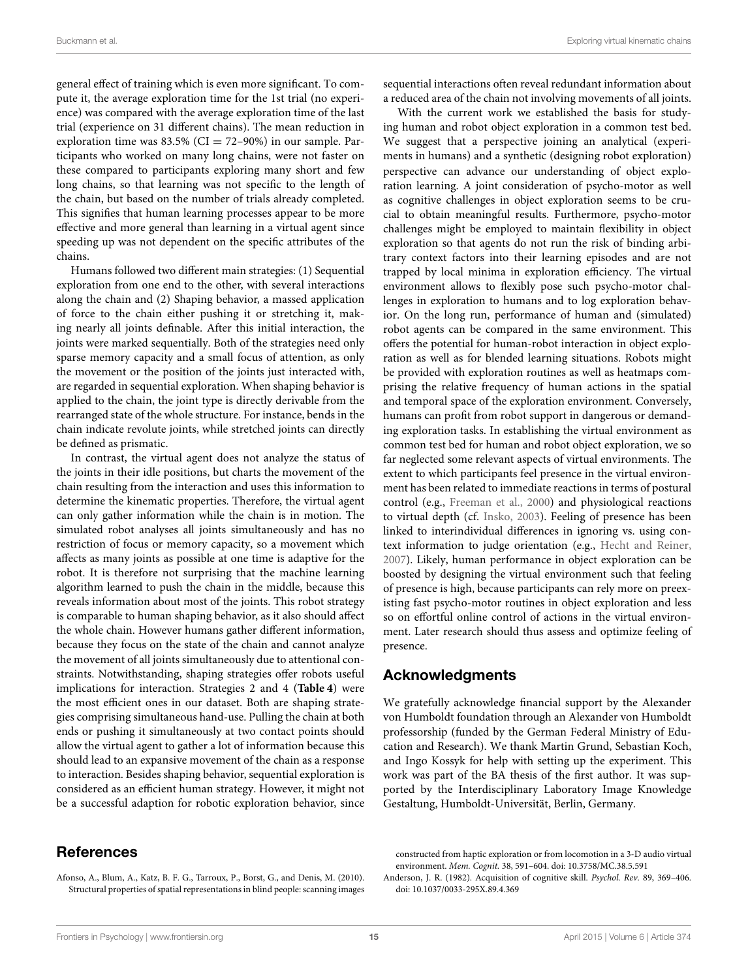general effect of training which is even more significant. To compute it, the average exploration time for the 1st trial (no experience) was compared with the average exploration time of the last trial (experience on 31 different chains). The mean reduction in exploration time was  $83.5\%$  (CI = 72–90%) in our sample. Participants who worked on many long chains, were not faster on these compared to participants exploring many short and few long chains, so that learning was not specific to the length of the chain, but based on the number of trials already completed. This signifies that human learning processes appear to be more effective and more general than learning in a virtual agent since speeding up was not dependent on the specific attributes of the chains.

Humans followed two different main strategies: (1) Sequential exploration from one end to the other, with several interactions along the chain and (2) Shaping behavior, a massed application of force to the chain either pushing it or stretching it, making nearly all joints definable. After this initial interaction, the joints were marked sequentially. Both of the strategies need only sparse memory capacity and a small focus of attention, as only the movement or the position of the joints just interacted with, are regarded in sequential exploration. When shaping behavior is applied to the chain, the joint type is directly derivable from the rearranged state of the whole structure. For instance, bends in the chain indicate revolute joints, while stretched joints can directly be defined as prismatic.

In contrast, the virtual agent does not analyze the status of the joints in their idle positions, but charts the movement of the chain resulting from the interaction and uses this information to determine the kinematic properties. Therefore, the virtual agent can only gather information while the chain is in motion. The simulated robot analyses all joints simultaneously and has no restriction of focus or memory capacity, so a movement which affects as many joints as possible at one time is adaptive for the robot. It is therefore not surprising that the machine learning algorithm learned to push the chain in the middle, because this reveals information about most of the joints. This robot strategy is comparable to human shaping behavior, as it also should affect the whole chain. However humans gather different information, because they focus on the state of the chain and cannot analyze the movement of all joints simultaneously due to attentional constraints. Notwithstanding, shaping strategies offer robots useful implications for interaction. Strategies 2 and 4 (**[Table 4](#page-10-0)**) were the most efficient ones in our dataset. Both are shaping strategies comprising simultaneous hand-use. Pulling the chain at both ends or pushing it simultaneously at two contact points should allow the virtual agent to gather a lot of information because this should lead to an expansive movement of the chain as a response to interaction. Besides shaping behavior, sequential exploration is considered as an efficient human strategy. However, it might not be a successful adaption for robotic exploration behavior, since

# References

<span id="page-14-0"></span>Afonso, A., Blum, A., Katz, B. F. G., Tarroux, P., Borst, G., and Denis, M. (2010). Structural properties of spatial representations in blind people: scanning images sequential interactions often reveal redundant information about a reduced area of the chain not involving movements of all joints.

With the current work we established the basis for studying human and robot object exploration in a common test bed. We suggest that a perspective joining an analytical (experiments in humans) and a synthetic (designing robot exploration) perspective can advance our understanding of object exploration learning. A joint consideration of psycho-motor as well as cognitive challenges in object exploration seems to be crucial to obtain meaningful results. Furthermore, psycho-motor challenges might be employed to maintain flexibility in object exploration so that agents do not run the risk of binding arbitrary context factors into their learning episodes and are not trapped by local minima in exploration efficiency. The virtual environment allows to flexibly pose such psycho-motor challenges in exploration to humans and to log exploration behavior. On the long run, performance of human and (simulated) robot agents can be compared in the same environment. This offers the potential for human-robot interaction in object exploration as well as for blended learning situations. Robots might be provided with exploration routines as well as heatmaps comprising the relative frequency of human actions in the spatial and temporal space of the exploration environment. Conversely, humans can profit from robot support in dangerous or demanding exploration tasks. In establishing the virtual environment as common test bed for human and robot object exploration, we so far neglected some relevant aspects of virtual environments. The extent to which participants feel presence in the virtual environment has been related to immediate reactions in terms of postural control (e.g., [Freeman et al., 2000\)](#page-15-39) and physiological reactions to virtual depth (cf. [Insko, 2003\)](#page-15-40). Feeling of presence has been linked to interindividual differences in ignoring vs. using context information to judge orientation (e.g., [Hecht and Reiner,](#page-15-41) [2007\)](#page-15-41). Likely, human performance in object exploration can be boosted by designing the virtual environment such that feeling of presence is high, because participants can rely more on preexisting fast psycho-motor routines in object exploration and less so on effortful online control of actions in the virtual environment. Later research should thus assess and optimize feeling of presence.

# Acknowledgments

We gratefully acknowledge financial support by the Alexander von Humboldt foundation through an Alexander von Humboldt professorship (funded by the German Federal Ministry of Education and Research). We thank Martin Grund, Sebastian Koch, and Ingo Kossyk for help with setting up the experiment. This work was part of the BA thesis of the first author. It was supported by the Interdisciplinary Laboratory Image Knowledge Gestaltung, Humboldt-Universität, Berlin, Germany.

constructed from haptic exploration or from locomotion in a 3-D audio virtual environment. Mem. Cognit. 38, 591–604. doi: 10.3758/MC.38.5.591

<span id="page-14-1"></span>Anderson, J. R. (1982). Acquisition of cognitive skill. Psychol. Rev. 89, 369–406. doi: 10.1037/0033-295X.89.4.369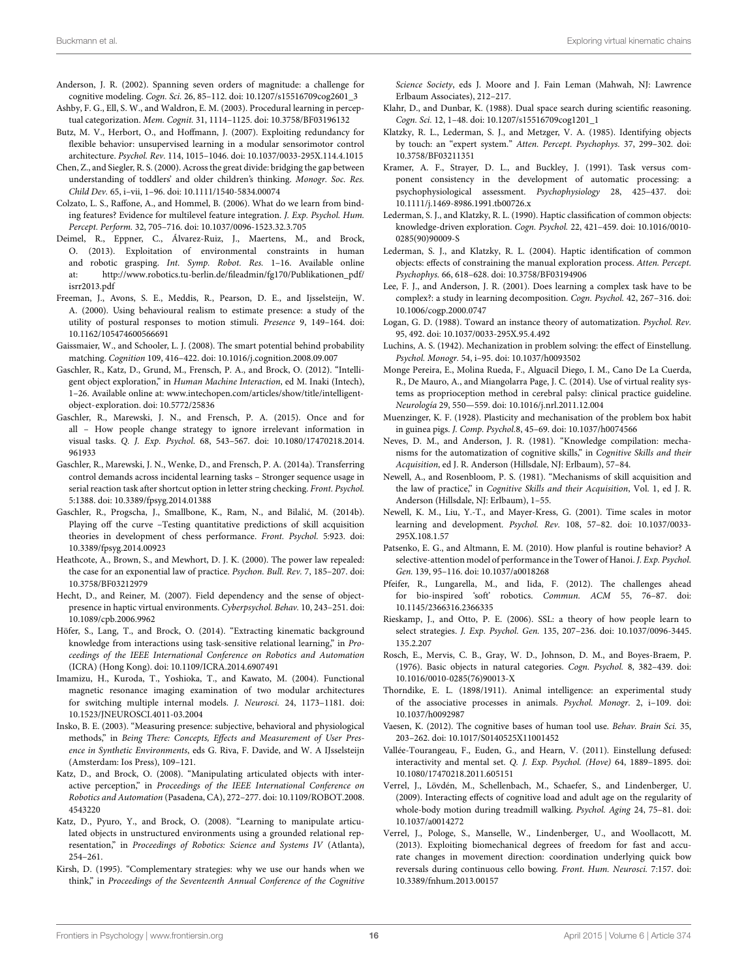- <span id="page-15-24"></span>Anderson, J. R. (2002). Spanning seven orders of magnitude: a challenge for cognitive modeling. Cogn. Sci. 26, 85–112. doi: 10.1207/s15516709cog2601\_3
- <span id="page-15-23"></span>Ashby, F. G., Ell, S. W., and Waldron, E. M. (2003). Procedural learning in perceptual categorization. Mem. Cognit. 31, 1114–1125. doi: 10.3758/BF03196132
- <span id="page-15-22"></span>Butz, M. V., Herbort, O., and Hoffmann, J. (2007). Exploiting redundancy for flexible behavior: unsupervised learning in a modular sensorimotor control architecture. Psychol. Rev. 114, 1015–1046. doi: 10.1037/0033-295X.114.4.1015
- <span id="page-15-30"></span>Chen, Z., and Siegler, R. S. (2000). Across the great divide: bridging the gap between understanding of toddlers' and older children's thinking. Monogr. Soc. Res. Child Dev. 65, i–vii, 1–96. doi: 10.1111/1540-5834.00074
- <span id="page-15-35"></span>Colzato, L. S., Raffone, A., and Hommel, B. (2006). What do we learn from binding features? Evidence for multilevel feature integration. J. Exp. Psychol. Hum. Percept. Perform. 32, 705–716. doi: 10.1037/0096-1523.32.3.705
- <span id="page-15-15"></span>Deimel, R., Eppner, C., Álvarez-Ruiz, J., Maertens, M., and Brock, O. (2013). Exploitation of environmental constraints in human and robotic grasping. Int. Symp. Robot. Res. 1–16. Available online at: [http://www.robotics.tu-berlin.de/fileadmin/fg170/Publikationen\\_pdf/](http://www.robotics.tu-berlin.de/fileadmin/fg170/Publikationen_pdf/isrr2013.pdf) [isrr2013.pdf](http://www.robotics.tu-berlin.de/fileadmin/fg170/Publikationen_pdf/isrr2013.pdf)
- <span id="page-15-39"></span>Freeman, J., Avons, S. E., Meddis, R., Pearson, D. E., and Ijsselsteijn, W. A. (2000). Using behavioural realism to estimate presence: a study of the utility of postural responses to motion stimuli. Presence 9, 149–164. doi: 10.1162/105474600566691
- <span id="page-15-13"></span>Gaissmaier, W., and Schooler, L. J. (2008). The smart potential behind probability matching. Cognition 109, 416–422. doi: 10.1016/j.cognition.2008.09.007
- <span id="page-15-9"></span>Gaschler, R., Katz, D., Grund, M., Frensch, P. A., and Brock, O. (2012). "Intelligent object exploration," in Human Machine Interaction, ed M. Inaki (Intech), 1–26. Available online at: [www.intechopen.com/articles/show/title/intelligent](www.intechopen.com/articles/show/title/intelligent-object-exploration)[object-exploration.](www.intechopen.com/articles/show/title/intelligent-object-exploration) doi: 10.5772/25836
- <span id="page-15-18"></span>Gaschler, R., Marewski, J. N., and Frensch, P. A. (2015). Once and for all – How people change strategy to ignore irrelevant information in visual tasks. Q. J. Exp. Psychol. 68, 543–567. doi: 10.1080/17470218.2014. 961933
- <span id="page-15-14"></span>Gaschler, R., Marewski, J. N., Wenke, D., and Frensch, P. A. (2014a). Transferring control demands across incidental learning tasks – Stronger sequence usage in serial reaction task after shortcut option in letter string checking. Front. Psychol. 5:1388. doi: 10.3389/fpsyg.2014.01388
- <span id="page-15-25"></span>Gaschler, R., Progscha, J., Smallbone, K., Ram, N., and Bilalić, M. (2014b). Playing off the curve –Testing quantitative predictions of skill acquisition theories in development of chess performance. Front. Psychol. 5:923. doi: 10.3389/fpsyg.2014.00923
- <span id="page-15-28"></span>Heathcote, A., Brown, S., and Mewhort, D. J. K. (2000). The power law repealed: the case for an exponential law of practice. Psychon. Bull. Rev. 7, 185–207. doi: 10.3758/BF03212979
- <span id="page-15-41"></span>Hecht, D., and Reiner, M. (2007). Field dependency and the sense of objectpresence in haptic virtual environments. Cyberpsychol. Behav. 10, 243–251. doi: 10.1089/cpb.2006.9962
- <span id="page-15-1"></span>Höfer, S., Lang, T., and Brock, O. (2014). "Extracting kinematic background knowledge from interactions using task-sensitive relational learning," in Proceedings of the IEEE International Conference on Robotics and Automation (ICRA) (Hong Kong). doi: 10.1109/ICRA.2014.6907491
- <span id="page-15-32"></span>Imamizu, H., Kuroda, T., Yoshioka, T., and Kawato, M. (2004). Functional magnetic resonance imaging examination of two modular architectures for switching multiple internal models. J. Neurosci. 24, 1173–1181. doi: 10.1523/JNEUROSCI.4011-03.2004
- <span id="page-15-40"></span>Insko, B. E. (2003). "Measuring presence: subjective, behavioral and physiological methods," in Being There: Concepts, Effects and Measurement of User Presence in Synthetic Environments, eds G. Riva, F. Davide, and W. A IJsselsteijn (Amsterdam: Ios Press), 109–121.
- <span id="page-15-27"></span>Katz, D., and Brock, O. (2008). "Manipulating articulated objects with interactive perception," in Proceedings of the IEEE International Conference on Robotics and Automation (Pasadena, CA), 272–277. doi: 10.1109/ROBOT.2008. 4543220
- <span id="page-15-4"></span>Katz, D., Pyuro, Y., and Brock, O. (2008). "Learning to manipulate articulated objects in unstructured environments using a grounded relational representation," in Proceedings of Robotics: Science and Systems IV (Atlanta), 254–261.
- <span id="page-15-19"></span>Kirsh, D. (1995). "Complementary strategies: why we use our hands when we think," in Proceedings of the Seventeenth Annual Conference of the Cognitive

Science Society, eds J. Moore and J. Fain Leman (Mahwah, NJ: Lawrence Erlbaum Associates), 212–217.

- <span id="page-15-10"></span>Klahr, D., and Dunbar, K. (1988). Dual space search during scientific reasoning. Cogn. Sci. 12, 1–48. doi: 10.1207/s15516709cog1201\_1
- <span id="page-15-5"></span>Klatzky, R. L., Lederman, S. J., and Metzger, V. A. (1985). Identifying objects by touch: an "expert system." Atten. Percept. Psychophys. 37, 299–302. doi: 10.3758/BF03211351
- <span id="page-15-26"></span>Kramer, A. F., Strayer, D. L., and Buckley, J. (1991). Task versus component consistency in the development of automatic processing: a psychophysiological assessment. Psychophysiology 28, 425–437. doi: 10.1111/j.1469-8986.1991.tb00726.x
- <span id="page-15-7"></span>Lederman, S. J., and Klatzky, R. L. (1990). Haptic classification of common objects: knowledge-driven exploration. Cogn. Psychol. 22, 421–459. doi: 10.1016/0010- 0285(90)90009-S
- <span id="page-15-8"></span>Lederman, S. J., and Klatzky, R. L. (2004). Haptic identification of common objects: effects of constraining the manual exploration process. Atten. Percept. Psychophys. 66, 618–628. doi: 10.3758/BF03194906
- <span id="page-15-37"></span>Lee, F. J., and Anderson, J. R. (2001). Does learning a complex task have to be complex?: a study in learning decomposition. Cogn. Psychol. 42, 267–316. doi: 10.1006/cogp.2000.0747
- <span id="page-15-17"></span>Logan, G. D. (1988). Toward an instance theory of automatization. Psychol. Rev. 95, 492. doi: 10.1037/0033-295X.95.4.492
- <span id="page-15-36"></span>Luchins, A. S. (1942). Mechanization in problem solving: the effect of Einstellung. Psychol. Monogr. 54, i–95. doi: 10.1037/h0093502
- <span id="page-15-12"></span>Monge Pereira, E., Molina Rueda, F., Alguacil Diego, I. M., Cano De La Cuerda, R., De Mauro, A., and Miangolarra Page, J. C. (2014). Use of virtual reality systems as proprioception method in cerebral palsy: clinical practice guideline. Neurología 29, 550—559. doi: 10.1016/j.nrl.2011.12.004
- <span id="page-15-33"></span>Muenzinger, K. F. (1928). Plasticity and mechanisation of the problem box habit in guinea pigs. J. Comp. Psychol.8, 45–69. doi: 10.1037/h0074566
- <span id="page-15-38"></span>Neves, D. M., and Anderson, J. R. (1981). "Knowledge compilation: mechanisms for the automatization of cognitive skills," in Cognitive Skills and their Acquisition, ed J. R. Anderson (Hillsdale, NJ: Erlbaum), 57–84.
- <span id="page-15-29"></span>Newell, A., and Rosenbloom, P. S. (1981). "Mechanisms of skill acquisition and the law of practice," in Cognitive Skills and their Acquisition, Vol. 1, ed J. R. Anderson (Hillsdale, NJ: Erlbaum), 1–55.
- <span id="page-15-16"></span>Newell, K. M., Liu, Y.-T., and Mayer-Kress, G. (2001). Time scales in motor learning and development. Psychol. Rev. 108, 57–82. doi: 10.1037/0033- 295X.108.1.57
- <span id="page-15-11"></span>Patsenko, E. G., and Altmann, E. M. (2010). How planful is routine behavior? A selective-attention model of performance in the Tower of Hanoi. J. Exp. Psychol. Gen. 139, 95–116. doi: 10.1037/a0018268
- <span id="page-15-2"></span>Pfeifer, R., Lungarella, M., and Iida, F. (2012). The challenges ahead for bio-inspired 'soft' robotics. Commun. ACM 55, 76–87. doi: 10.1145/2366316.2366335
- <span id="page-15-31"></span>Rieskamp, J., and Otto, P. E. (2006). SSL: a theory of how people learn to select strategies. J. Exp. Psychol. Gen. 135, 207–236. doi: 10.1037/0096-3445. 135.2.207
- <span id="page-15-6"></span>Rosch, E., Mervis, C. B., Gray, W. D., Johnson, D. M., and Boyes-Braem, P. (1976). Basic objects in natural categories. Cogn. Psychol. 8, 382–439. doi: 10.1016/0010-0285(76)90013-X
- <span id="page-15-34"></span>Thorndike, E. L. (1898/1911). Animal intelligence: an experimental study of the associative processes in animals. Psychol. Monogr. 2, i–109. doi: 10.1037/h0092987
- <span id="page-15-0"></span>Vaesen, K. (2012). The cognitive bases of human tool use. Behav. Brain Sci. 35, 203–262. doi: 10.1017/S0140525X11001452
- <span id="page-15-20"></span>Vallée-Tourangeau, F., Euden, G., and Hearn, V. (2011). Einstellung defused: interactivity and mental set. Q. J. Exp. Psychol. (Hove) 64, 1889–1895. doi: 10.1080/17470218.2011.605151
- <span id="page-15-21"></span>Verrel, J., Lövdén, M., Schellenbach, M., Schaefer, S., and Lindenberger, U. (2009). Interacting effects of cognitive load and adult age on the regularity of whole-body motion during treadmill walking. Psychol. Aging 24, 75–81. doi: 10.1037/a0014272
- <span id="page-15-3"></span>Verrel, J., Pologe, S., Manselle, W., Lindenberger, U., and Woollacott, M. (2013). Exploiting biomechanical degrees of freedom for fast and accurate changes in movement direction: coordination underlying quick bow reversals during continuous cello bowing. Front. Hum. Neurosci. 7:157. doi: 10.3389/fnhum.2013.00157